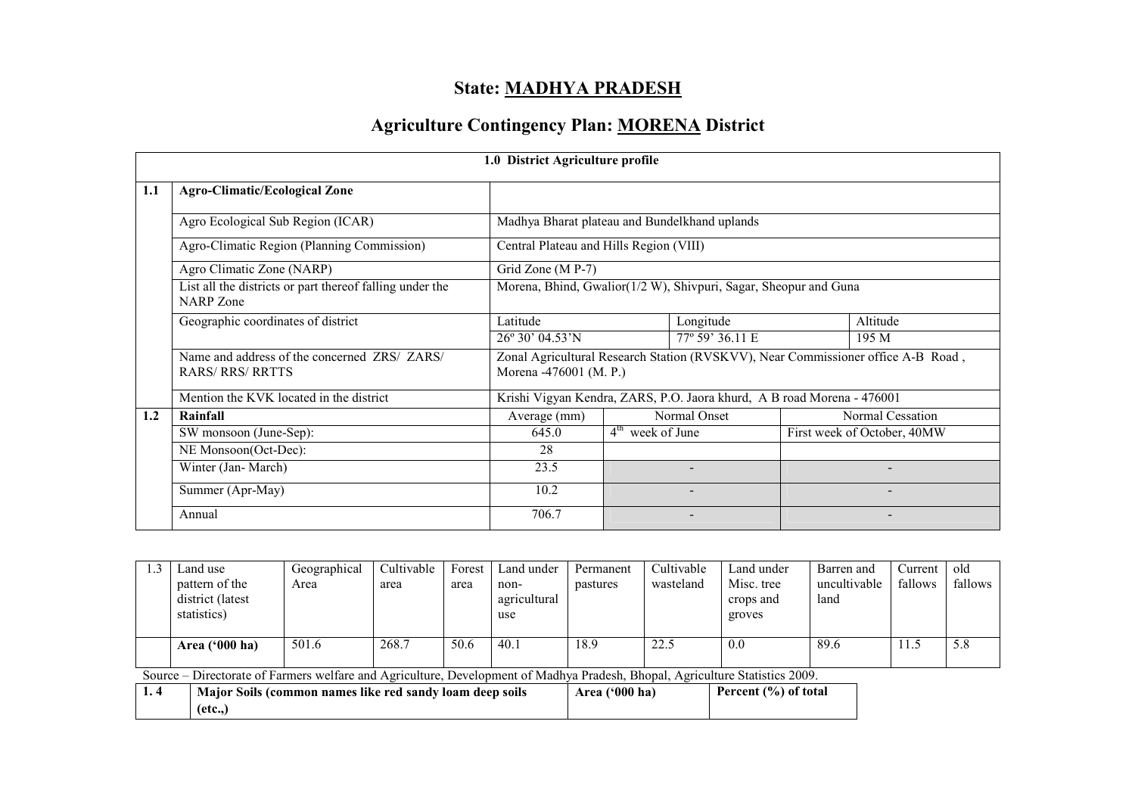## State: MADHYA PRADESH

## Agriculture Contingency Plan: MORENA District

|     | 1.0 District Agriculture profile                                             |                                                                  |                    |                                                                        |       |                                                                                  |  |  |  |
|-----|------------------------------------------------------------------------------|------------------------------------------------------------------|--------------------|------------------------------------------------------------------------|-------|----------------------------------------------------------------------------------|--|--|--|
| 1.1 | <b>Agro-Climatic/Ecological Zone</b>                                         |                                                                  |                    |                                                                        |       |                                                                                  |  |  |  |
|     | Agro Ecological Sub Region (ICAR)                                            | Madhya Bharat plateau and Bundelkhand uplands                    |                    |                                                                        |       |                                                                                  |  |  |  |
|     | Agro-Climatic Region (Planning Commission)                                   | Central Plateau and Hills Region (VIII)                          |                    |                                                                        |       |                                                                                  |  |  |  |
|     | Agro Climatic Zone (NARP)                                                    | Grid Zone (M P-7)                                                |                    |                                                                        |       |                                                                                  |  |  |  |
|     | List all the districts or part thereof falling under the<br><b>NARP</b> Zone | Morena, Bhind, Gwalior(1/2 W), Shivpuri, Sagar, Sheopur and Guna |                    |                                                                        |       |                                                                                  |  |  |  |
|     | Geographic coordinates of district                                           | Latitude<br>Longitude                                            |                    |                                                                        |       | Altitude                                                                         |  |  |  |
|     |                                                                              | 26° 30' 04.53'N                                                  |                    | 77° 59' 36.11 E                                                        | 195 M |                                                                                  |  |  |  |
|     | Name and address of the concerned ZRS/ ZARS/<br><b>RARS/ RRS/ RRTTS</b>      | Morena -476001 (M. P.)                                           |                    |                                                                        |       | Zonal Agricultural Research Station (RVSKVV), Near Commissioner office A-B Road, |  |  |  |
|     | Mention the KVK located in the district                                      |                                                                  |                    | Krishi Vigyan Kendra, ZARS, P.O. Jaora khurd, A B road Morena - 476001 |       |                                                                                  |  |  |  |
| 1.2 | Rainfall                                                                     | Average (mm)                                                     |                    | Normal Onset                                                           |       | Normal Cessation                                                                 |  |  |  |
|     | SW monsoon (June-Sep):                                                       | 645.0                                                            | $4th$ week of June |                                                                        |       | First week of October, 40MW                                                      |  |  |  |
|     | NE Monsoon(Oct-Dec):                                                         | 28                                                               |                    |                                                                        |       |                                                                                  |  |  |  |
|     | Winter (Jan-March)                                                           | 23.5                                                             |                    |                                                                        |       |                                                                                  |  |  |  |
|     | Summer (Apr-May)                                                             | 10.2                                                             |                    |                                                                        |       |                                                                                  |  |  |  |
|     | Annual                                                                       | 706.7                                                            |                    |                                                                        |       |                                                                                  |  |  |  |

| 1.3 | Land use                                                                                                                     | Geographical | Cultivable | Forest | Land under                                      | Permanent | Cultivable | Land under | Barren and   | Current | old     |
|-----|------------------------------------------------------------------------------------------------------------------------------|--------------|------------|--------|-------------------------------------------------|-----------|------------|------------|--------------|---------|---------|
|     | pattern of the                                                                                                               | Area         | area       | area   | non-                                            | pastures  | wasteland  | Misc. tree | uncultivable | fallows | fallows |
|     | district (latest                                                                                                             |              |            |        | agricultural                                    |           |            | crops and  | land         |         |         |
|     | statistics)                                                                                                                  |              |            |        | use                                             |           |            | groves     |              |         |         |
|     |                                                                                                                              |              |            |        |                                                 |           |            |            |              |         |         |
|     | Area $('000 ha)$                                                                                                             | 501.6        | 268.7      | 50.6   | 40.1                                            | 18.9      | 22.5       | 0.0        | 89.6         | 11.5    | 5.8     |
|     |                                                                                                                              |              |            |        |                                                 |           |            |            |              |         |         |
|     | Source – Directorate of Farmers welfare and Agriculture, Development of Madhya Pradesh, Bhopal, Agriculture Statistics 2009. |              |            |        |                                                 |           |            |            |              |         |         |
| 1.4 | Major Soils (common names like red sandy loam deep soils                                                                     |              |            |        | Percent (%) of total<br>Area $(900 \text{ ha})$ |           |            |            |              |         |         |
|     | $(\text{etc.},)$                                                                                                             |              |            |        |                                                 |           |            |            |              |         |         |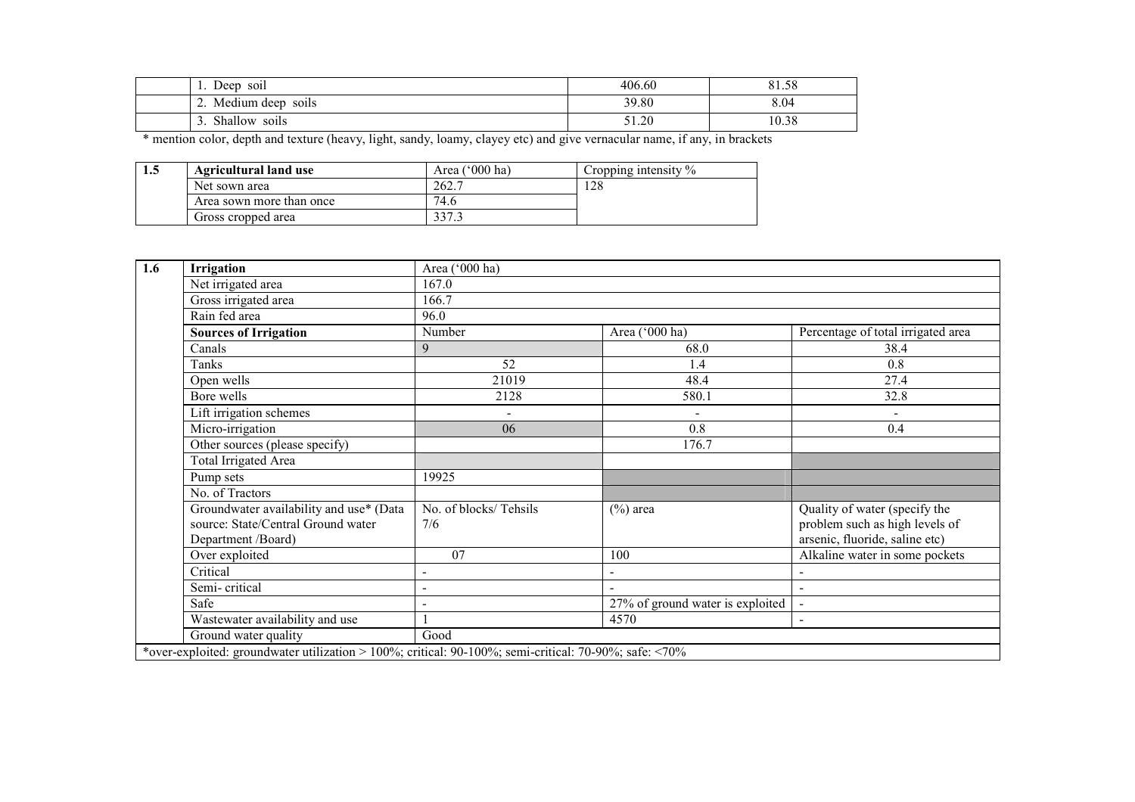| SO1l<br>Deep                                              | 406.60 | 81.58 |
|-----------------------------------------------------------|--------|-------|
| $\cdot$ $\cdot$<br>Medium deep<br>SO1lS<br>$\overline{a}$ | 39.80  | 8.04  |
| Shallow<br>$\cdot$ $\cdot$<br>soils<br>╯                  | 51.20  | 10.38 |

\* mention color, depth and texture (heavy, light, sandy, loamy, clayey etc) and give vernacular name, if any, in brackets

| 1.5 | <b>Agricultural land use</b> | $(000 \text{ ha})$<br>Area | Cropping intensity $\%$ |
|-----|------------------------------|----------------------------|-------------------------|
|     | Net sown area                | 262.7                      | 28                      |
|     | Area sown more than once     | 74.6                       |                         |
|     | Gross cropped area           | າາສ                        |                         |

| 1.6 | <b>Irrigation</b>                                                                                     | Area ('000 ha)               |                                    |                                                                                                   |
|-----|-------------------------------------------------------------------------------------------------------|------------------------------|------------------------------------|---------------------------------------------------------------------------------------------------|
|     | Net irrigated area                                                                                    | 167.0                        |                                    |                                                                                                   |
|     | Gross irrigated area                                                                                  | 166.7                        |                                    |                                                                                                   |
|     | Rain fed area                                                                                         | 96.0                         |                                    |                                                                                                   |
|     | <b>Sources of Irrigation</b>                                                                          | Number                       | Percentage of total irrigated area |                                                                                                   |
|     | Canals                                                                                                | 9                            | 68.0                               | 38.4                                                                                              |
|     | Tanks                                                                                                 | 52                           | 1.4                                | 0.8                                                                                               |
|     | Open wells                                                                                            | 21019                        | 48.4                               | 27.4                                                                                              |
|     | Bore wells                                                                                            | 2128                         | 580.1                              | 32.8                                                                                              |
|     | Lift irrigation schemes                                                                               | $\blacksquare$               | $\blacksquare$                     |                                                                                                   |
|     | Micro-irrigation                                                                                      | 06                           | 0.8                                | 0.4                                                                                               |
|     | Other sources (please specify)                                                                        |                              | 176.7                              |                                                                                                   |
|     | <b>Total Irrigated Area</b>                                                                           |                              |                                    |                                                                                                   |
|     | Pump sets                                                                                             | 19925                        |                                    |                                                                                                   |
|     | No. of Tractors                                                                                       |                              |                                    |                                                                                                   |
|     | Groundwater availability and use* (Data<br>source: State/Central Ground water<br>Department /Board)   | No. of blocks/Tehsils<br>7/6 | $(\%)$ area                        | Quality of water (specify the<br>problem such as high levels of<br>arsenic, fluoride, saline etc) |
|     | Over exploited                                                                                        | 07                           | 100                                | Alkaline water in some pockets                                                                    |
|     | Critical                                                                                              | $\blacksquare$               |                                    | $\blacksquare$                                                                                    |
|     | Semi-critical                                                                                         |                              |                                    | $\overline{\phantom{a}}$                                                                          |
|     | Safe                                                                                                  |                              | 27% of ground water is exploited   | $\blacksquare$                                                                                    |
|     | Wastewater availability and use                                                                       |                              | 4570                               | $\blacksquare$                                                                                    |
|     | Ground water quality                                                                                  | Good                         |                                    |                                                                                                   |
|     | *over-exploited: groundwater utilization > 100%; critical: 90-100%; semi-critical: 70-90%; safe: <70% |                              |                                    |                                                                                                   |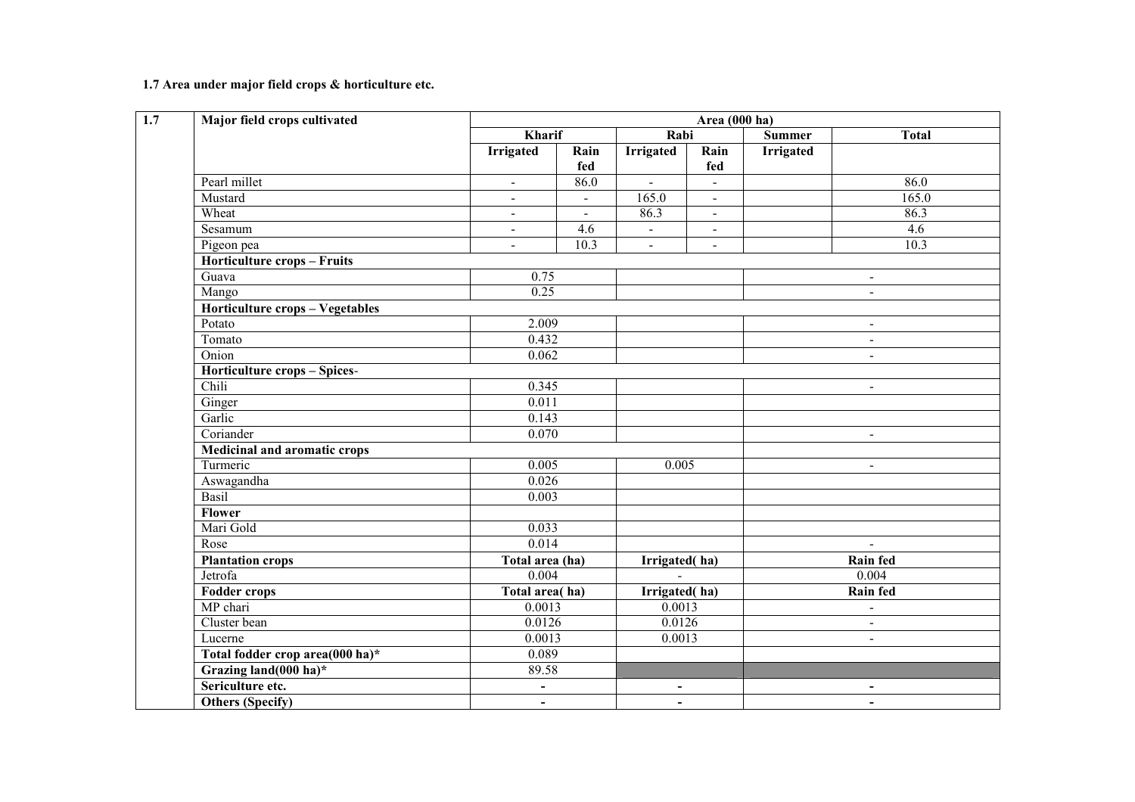1.7 Area under major field crops & horticulture etc.

| Major field crops cultivated        |                 | Area (000 ha)                        |                                  |                |                  |                          |  |
|-------------------------------------|-----------------|--------------------------------------|----------------------------------|----------------|------------------|--------------------------|--|
|                                     | <b>Kharif</b>   |                                      | Rabi                             |                | <b>Summer</b>    | <b>Total</b>             |  |
|                                     | Irrigated       | Rain<br>fed                          | <b>Irrigated</b>                 | Rain<br>fed    | <b>Irrigated</b> |                          |  |
| Pearl millet                        | $\Delta$        | 86.0                                 | $\mathbf{r}$                     | $\mathbf{r}$   |                  | 86.0                     |  |
| Mustard                             | $\blacksquare$  | $\blacksquare$                       | 165.0                            | $\blacksquare$ |                  | 165.0                    |  |
| Wheat                               | $\blacksquare$  | $\blacksquare$                       | 86.3                             | $\blacksquare$ |                  | 86.3                     |  |
| Sesamum                             | $\blacksquare$  | 4.6                                  | $\blacksquare$                   | $\blacksquare$ |                  | 4.6                      |  |
| Pigeon pea                          | $\overline{a}$  | 10.3                                 | $\omega$                         | $\Delta$       |                  | 10.3                     |  |
| <b>Horticulture crops - Fruits</b>  |                 |                                      |                                  |                |                  |                          |  |
| Guava                               | 0.75            |                                      |                                  |                |                  | $\blacksquare$           |  |
| Mango                               | 0.25            |                                      |                                  |                |                  | $\blacksquare$           |  |
| Horticulture crops - Vegetables     |                 |                                      |                                  |                |                  |                          |  |
| Potato                              | 2.009           |                                      |                                  |                |                  | $\blacksquare$           |  |
| Tomato                              | 0.432           |                                      | $\blacksquare$                   |                |                  |                          |  |
| Onion                               |                 | 0.062                                |                                  |                |                  |                          |  |
| Horticulture crops - Spices-        |                 |                                      |                                  |                |                  |                          |  |
| Chili                               | 0.345           |                                      |                                  |                |                  | $\blacksquare$           |  |
| Ginger                              | 0.011           |                                      |                                  |                |                  |                          |  |
| Garlic                              | 0.143           |                                      |                                  |                |                  |                          |  |
| Coriander                           | 0.070           |                                      |                                  |                | $\blacksquare$   |                          |  |
| <b>Medicinal and aromatic crops</b> |                 |                                      |                                  |                |                  |                          |  |
| Turmeric                            | 0.005           |                                      | 0.005                            |                | $\blacksquare$   |                          |  |
| Aswagandha                          | 0.026           |                                      |                                  |                |                  |                          |  |
| Basil                               | 0.003           |                                      |                                  |                |                  |                          |  |
| Flower                              |                 |                                      |                                  |                |                  |                          |  |
| Mari Gold                           | 0.033           |                                      |                                  |                |                  |                          |  |
| Rose                                | 0.014           |                                      |                                  |                |                  | $\blacksquare$           |  |
| <b>Plantation crops</b>             | Total area (ha) |                                      | Irrigated(ha)                    |                |                  | <b>Rain fed</b>          |  |
| Jetrofa                             | 0.004           |                                      | $\sim$                           |                |                  | 0.004                    |  |
| <b>Fodder crops</b>                 | Total area(ha)  |                                      | Irrigated(ha)                    |                |                  | <b>Rain fed</b>          |  |
| MP chari                            | 0.0013          |                                      | 0.0013                           |                |                  | $\overline{\phantom{a}}$ |  |
| Cluster bean                        |                 | 0.0126<br>0.0126<br>0.0013<br>0.0013 |                                  |                | $\blacksquare$   |                          |  |
| Lucerne                             |                 |                                      |                                  |                |                  | $\blacksquare$           |  |
| Total fodder crop area(000 ha)*     | 0.089           |                                      |                                  |                |                  |                          |  |
| Grazing land(000 ha)*               | 89.58           |                                      |                                  |                |                  |                          |  |
| Sericulture etc.                    | $\blacksquare$  |                                      | $\blacksquare$                   |                |                  | $\blacksquare$           |  |
| Others (Specify)                    | $\blacksquare$  |                                      | $\blacksquare$<br>$\blacksquare$ |                |                  |                          |  |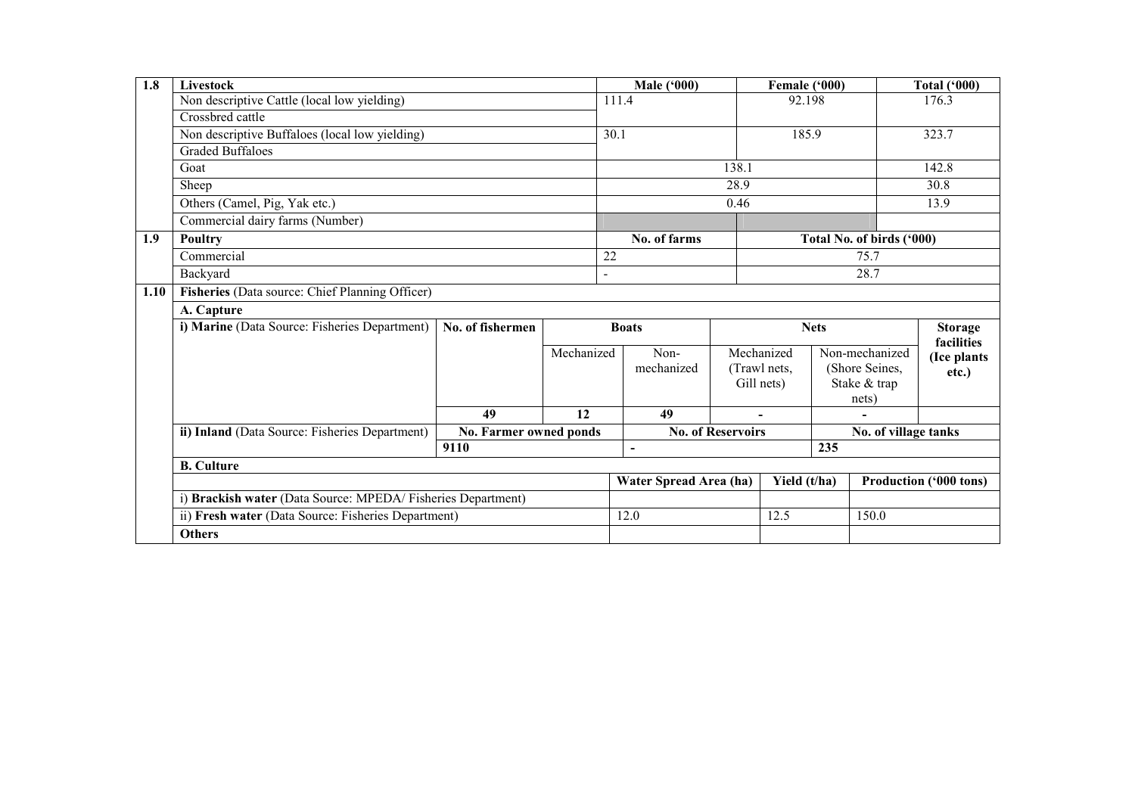| 1.8  | Livestock                                                    |                        |                | <b>Male ('000)</b>     |                          | Female ('000)  |                |                           | <b>Total ('000)</b>           |  |
|------|--------------------------------------------------------------|------------------------|----------------|------------------------|--------------------------|----------------|----------------|---------------------------|-------------------------------|--|
|      | Non descriptive Cattle (local low yielding)                  |                        |                | 111.4                  |                          | 92.198         |                |                           | 176.3                         |  |
|      | $\overline{\text{Crossbred}}$ cattle                         |                        |                |                        |                          |                |                |                           |                               |  |
|      | Non descriptive Buffaloes (local low yielding)               |                        |                | 30.1                   |                          | 185.9          |                |                           | 323.7                         |  |
|      | Graded Buffaloes                                             |                        |                |                        |                          |                |                |                           |                               |  |
|      | Goat                                                         |                        |                |                        | 138.1                    |                |                |                           | 142.8                         |  |
|      | Sheep                                                        |                        |                |                        | 28.9                     |                |                |                           | 30.8                          |  |
|      | Others (Camel, Pig, Yak etc.)                                |                        |                |                        | 0.46                     |                |                |                           | 13.9                          |  |
|      | Commercial dairy farms (Number)                              |                        |                |                        |                          |                |                |                           |                               |  |
| 1.9  | <b>Poultry</b>                                               |                        |                | No. of farms           |                          |                |                | Total No. of birds ('000) |                               |  |
|      | Commercial                                                   |                        |                | 22                     |                          |                |                | 75.7                      |                               |  |
|      | Backyard                                                     |                        | $\blacksquare$ |                        |                          |                |                | 28.7                      |                               |  |
| 1.10 | Fisheries (Data source: Chief Planning Officer)              |                        |                |                        |                          |                |                |                           |                               |  |
|      | A. Capture                                                   |                        |                |                        |                          |                |                |                           |                               |  |
|      | i) Marine (Data Source: Fisheries Department)                | No. of fishermen       |                | <b>Boats</b>           |                          |                | <b>Nets</b>    |                           | <b>Storage</b>                |  |
|      |                                                              |                        | Mechanized     | Non-                   | Mechanized               |                | Non-mechanized | facilities                |                               |  |
|      |                                                              |                        |                | mechanized             |                          | (Trawl nets,   |                | (Shore Seines,            | (Ice plants                   |  |
|      |                                                              |                        |                |                        |                          | Gill nets)     |                | Stake & trap              | etc.)                         |  |
|      |                                                              |                        |                |                        |                          |                |                | nets)                     |                               |  |
|      |                                                              | 49                     | 12             | 49                     |                          | $\blacksquare$ |                |                           |                               |  |
|      | ii) Inland (Data Source: Fisheries Department)               | No. Farmer owned ponds |                |                        | <b>No. of Reservoirs</b> |                |                | No. of village tanks      |                               |  |
|      |                                                              | 9110                   |                | $\blacksquare$         |                          |                | 235            |                           |                               |  |
|      | <b>B.</b> Culture                                            |                        |                |                        |                          |                |                |                           |                               |  |
|      |                                                              |                        |                | Water Spread Area (ha) |                          | Yield (t/ha)   |                |                           | <b>Production ('000 tons)</b> |  |
|      | i) Brackish water (Data Source: MPEDA/ Fisheries Department) |                        |                |                        |                          |                |                |                           |                               |  |
|      | ii) Fresh water (Data Source: Fisheries Department)          |                        |                | 12.0                   |                          | 12.5           |                | 150.0                     |                               |  |
|      | <b>Others</b>                                                |                        |                |                        |                          |                |                |                           |                               |  |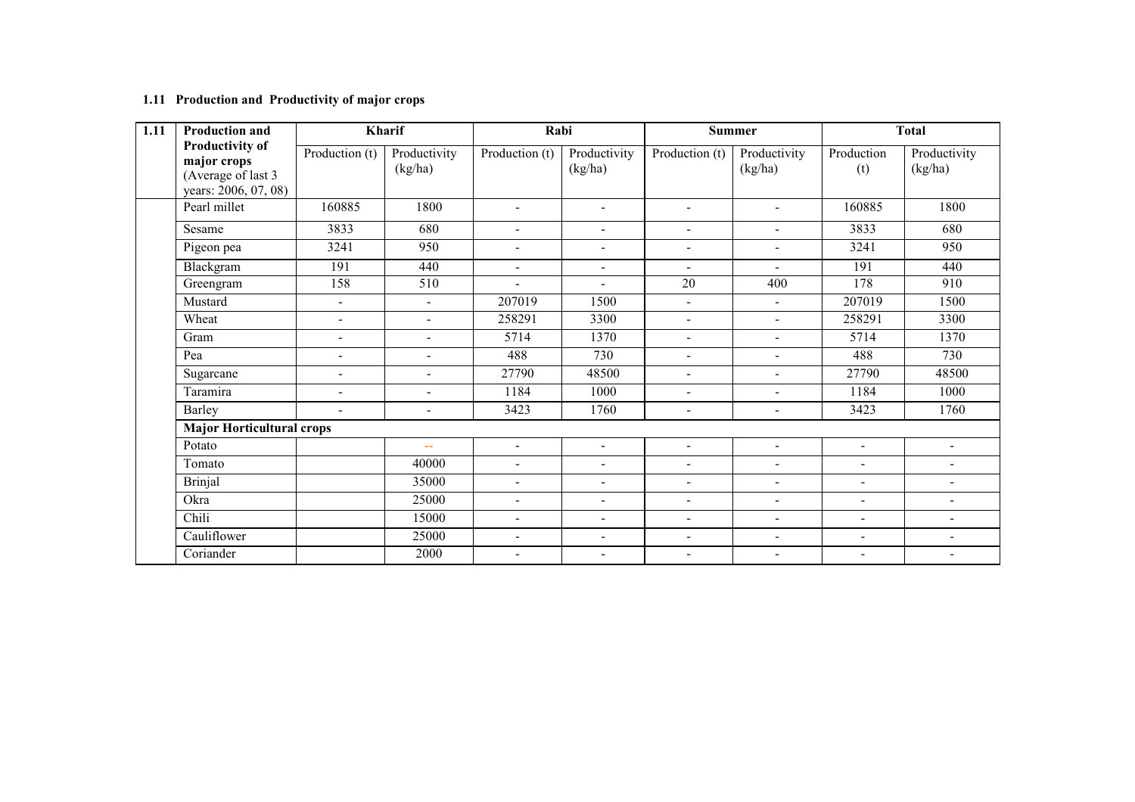#### 1.11 Production and Productivity of major crops

| 1.11 | <b>Production and</b>                                                               | Kharif                   |                         | Rabi                     |                          | <b>Summer</b>            |                          | <b>Total</b>             |                              |
|------|-------------------------------------------------------------------------------------|--------------------------|-------------------------|--------------------------|--------------------------|--------------------------|--------------------------|--------------------------|------------------------------|
|      | <b>Productivity of</b><br>major crops<br>(Average of last 3<br>years: 2006, 07, 08) | Production (t)           | Productivity<br>(kg/ha) | Production (t)           | Productivity<br>(kg/ha)  | Production (t)           | Productivity<br>(kg/ha)  | Production<br>(t)        | Productivity<br>(kg/ha)      |
|      | Pearl millet                                                                        | 160885                   | 1800                    | $\blacksquare$           | $\blacksquare$           | $\blacksquare$           | $\blacksquare$           | 160885                   | 1800                         |
|      | Sesame                                                                              | 3833                     | 680                     | $\blacksquare$           | $\overline{\phantom{a}}$ | $\blacksquare$           | $\blacksquare$           | 3833                     | 680                          |
|      | Pigeon pea                                                                          | 3241                     | 950                     | $\blacksquare$           | $\blacksquare$           | $\overline{\phantom{a}}$ | $\blacksquare$           | 3241                     | 950                          |
|      | Blackgram                                                                           | 191                      | 440                     | $\blacksquare$           | $\blacksquare$           | $\blacksquare$           | $\blacksquare$           | 191                      | 440                          |
|      | Greengram                                                                           | 158                      | 510                     | $\blacksquare$           | $\blacksquare$           | 20                       | 400                      | 178                      | 910                          |
|      | Mustard                                                                             | $\blacksquare$           | $\blacksquare$          | 207019                   | 1500                     | $\blacksquare$           | $\blacksquare$           | 207019                   | 1500                         |
|      | Wheat                                                                               | $\blacksquare$           | $\blacksquare$          | 258291                   | 3300                     | $\overline{\phantom{a}}$ | $\overline{a}$           | 258291                   | 3300                         |
|      | Gram                                                                                | $\overline{\phantom{0}}$ | $\blacksquare$          | 5714                     | 1370                     | $\blacksquare$           | $\blacksquare$           | 5714                     | 1370                         |
|      | Pea                                                                                 | $\blacksquare$           | $\blacksquare$          | 488                      | 730                      | $\blacksquare$           | $\blacksquare$           | 488                      | 730                          |
|      | Sugarcane                                                                           | $\blacksquare$           | ٠                       | 27790                    | 48500                    | $\blacksquare$           | ÷                        | 27790                    | 48500                        |
|      | Taramira                                                                            | $\blacksquare$           | $\blacksquare$          | 1184                     | 1000                     | $\blacksquare$           | $\blacksquare$           | 1184                     | 1000                         |
|      | Barley                                                                              | $\overline{\phantom{0}}$ | $\blacksquare$          | 3423                     | 1760                     | $\overline{\phantom{a}}$ | $\blacksquare$           | 3423                     | 1760                         |
|      | <b>Major Horticultural crops</b>                                                    |                          |                         |                          |                          |                          |                          |                          |                              |
|      | Potato                                                                              |                          | $\sim$ $\sim$           | $\blacksquare$           | $\blacksquare$           | $\blacksquare$           | $\blacksquare$           | $\blacksquare$           | $\overline{\phantom{a}}$     |
|      | Tomato                                                                              |                          | 40000                   | $\overline{\phantom{a}}$ | $\overline{\phantom{a}}$ | $\overline{\phantom{a}}$ | $\overline{\phantom{a}}$ | $\overline{\phantom{0}}$ | $\qquad \qquad \blacksquare$ |
|      | <b>Brinjal</b>                                                                      |                          | 35000                   | $\blacksquare$           | $\blacksquare$           | $\blacksquare$           | $\blacksquare$           | $\blacksquare$           | $\blacksquare$               |
|      | Okra                                                                                |                          | 25000                   | $\blacksquare$           | $\overline{\phantom{a}}$ | $\blacksquare$           | $\blacksquare$           | $\blacksquare$           | $\qquad \qquad \blacksquare$ |
|      | Chili                                                                               |                          | 15000                   | $\overline{\phantom{a}}$ | $\blacksquare$           | $\blacksquare$           | $\blacksquare$           | $\overline{\phantom{0}}$ | $\blacksquare$               |
|      | Cauliflower                                                                         |                          | 25000                   | $\overline{\phantom{a}}$ | $\blacksquare$           | $\blacksquare$           | $\blacksquare$           | $\overline{\phantom{0}}$ | $\blacksquare$               |
|      | Coriander                                                                           |                          | 2000                    | $\overline{\phantom{a}}$ | $\blacksquare$           | $\overline{\phantom{a}}$ | $\blacksquare$           | $\blacksquare$           | $\blacksquare$               |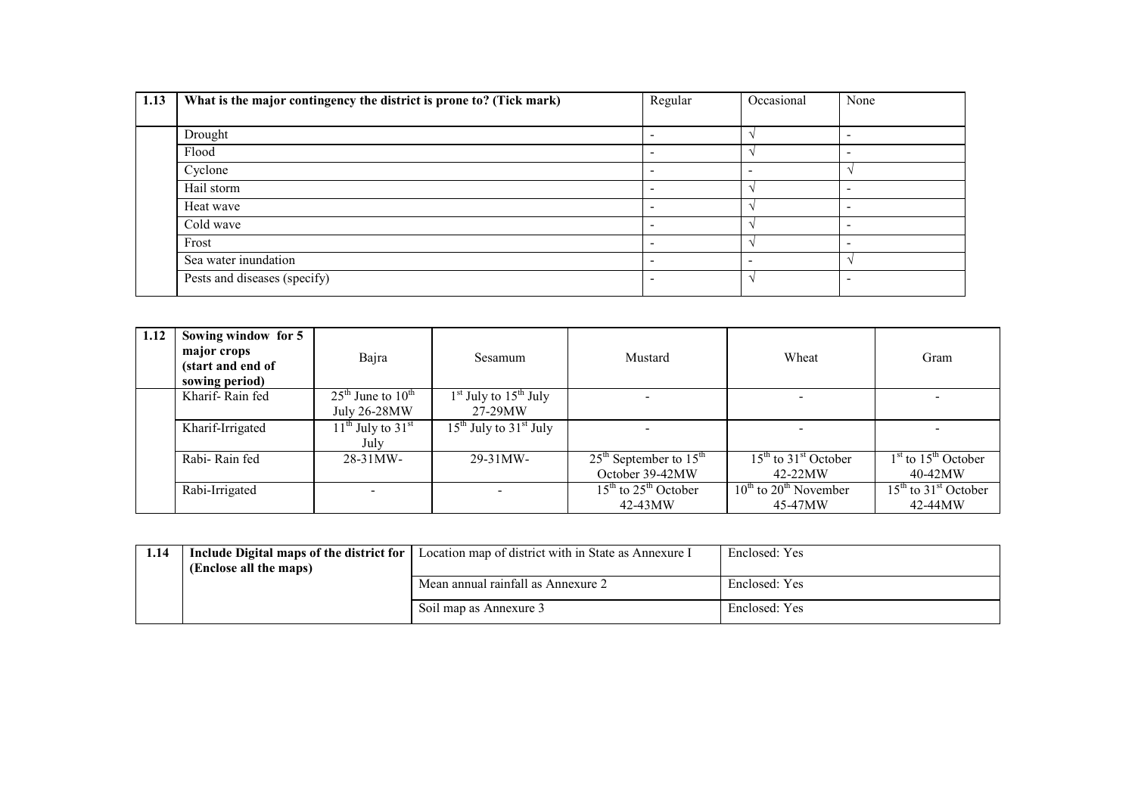| 1.13 | What is the major contingency the district is prone to? (Tick mark) | Regular                  | Occasional                   | None                     |
|------|---------------------------------------------------------------------|--------------------------|------------------------------|--------------------------|
|      |                                                                     |                          |                              |                          |
|      | Drought                                                             | $\overline{\phantom{0}}$ |                              | $\overline{\phantom{0}}$ |
|      | Flood                                                               | $\overline{\phantom{a}}$ |                              | $\overline{\phantom{0}}$ |
|      | Cyclone                                                             | $\overline{\phantom{a}}$ | $\qquad \qquad \blacksquare$ |                          |
|      | Hail storm                                                          |                          |                              | $\overline{\phantom{a}}$ |
|      | Heat wave                                                           | $\overline{\phantom{a}}$ |                              | $\overline{\phantom{0}}$ |
|      | Cold wave                                                           | $\overline{\phantom{a}}$ |                              | $\overline{\phantom{0}}$ |
|      | Frost                                                               | $\overline{\phantom{0}}$ |                              | $\overline{\phantom{0}}$ |
|      | Sea water inundation                                                | $\overline{\phantom{a}}$ | $\overline{\phantom{a}}$     |                          |
|      | Pests and diseases (specify)                                        | $\overline{\phantom{a}}$ |                              | $\overline{\phantom{0}}$ |

| 1.12 | Sowing window for 5<br>major crops<br>(start and end of<br>sowing period) | Bajra                                             | Sesamum                              | Mustard                                       | Wheat                                                             | Gram                                 |
|------|---------------------------------------------------------------------------|---------------------------------------------------|--------------------------------------|-----------------------------------------------|-------------------------------------------------------------------|--------------------------------------|
|      | Kharif-Rain fed                                                           | $25th$ June to $10th$<br>July 26-28MW             | $1st$ July to $15th$ July<br>27-29MW |                                               | $\overline{\phantom{0}}$                                          |                                      |
|      | Kharif-Irrigated                                                          | $11^{\text{th}}$ July to $31^{\text{st}}$<br>July | $15^{th}$ July to $31^{st}$ July     |                                               |                                                                   |                                      |
|      | Rabi-Rain fed                                                             | $28 - 31$ MW-                                     | $29 - 31$ MW-                        | $25th$ September to $15th$<br>October 39-42MW | $15th$ to $31st$ October<br>42-22MW                               | $1st$ to $15th$ October<br>$40-42MW$ |
|      | Rabi-Irrigated                                                            | $\overline{\phantom{a}}$                          |                                      | $15th$ to $25th$ October<br>42-43MW           | $\frac{10^{th}}{10^{th}}$ to 20 <sup>th</sup> November<br>45-47MW | $15th$ to $31st$ October<br>42-44MW  |

| 1.14 |                        | Include Digital maps of the district for   Location map of district with in State as Annexure I | Enclosed: Yes |
|------|------------------------|-------------------------------------------------------------------------------------------------|---------------|
|      | (Enclose all the maps) |                                                                                                 |               |
|      |                        | Mean annual rainfall as Annexure 2                                                              | Enclosed: Yes |
|      |                        | Soil map as Annexure 3                                                                          | Enclosed: Yes |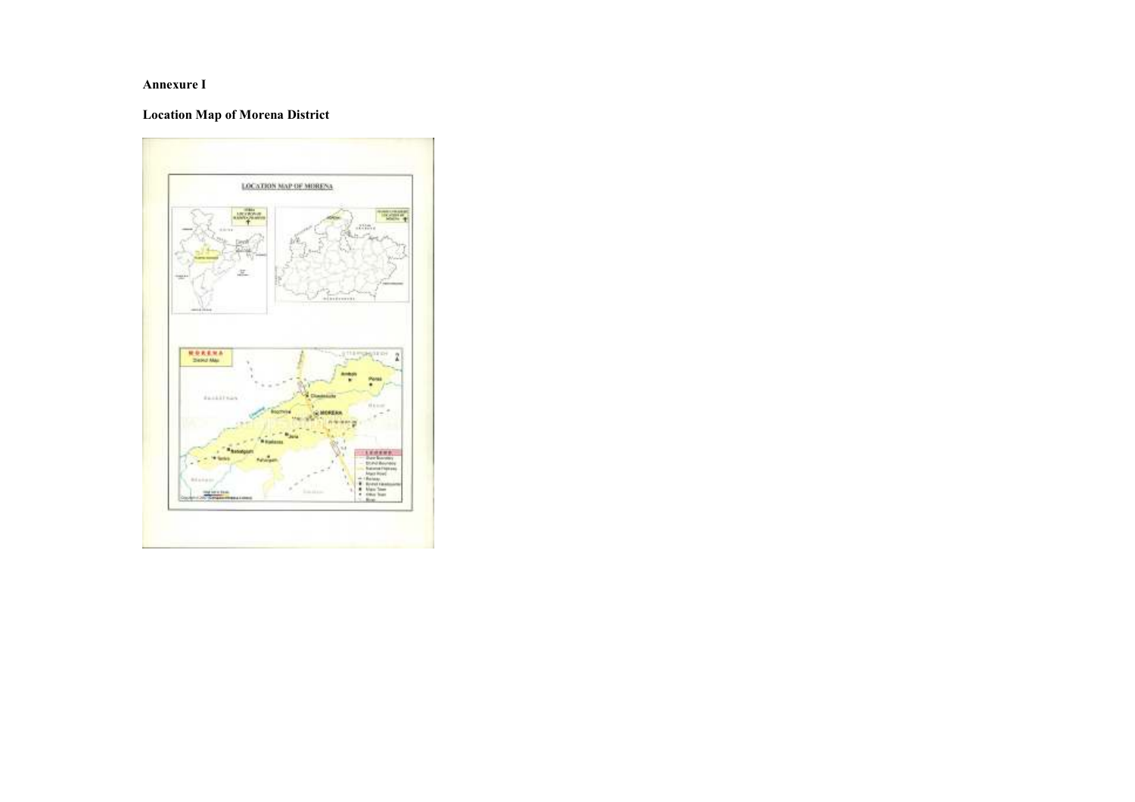#### Annexure I

### Location Map of Morena District

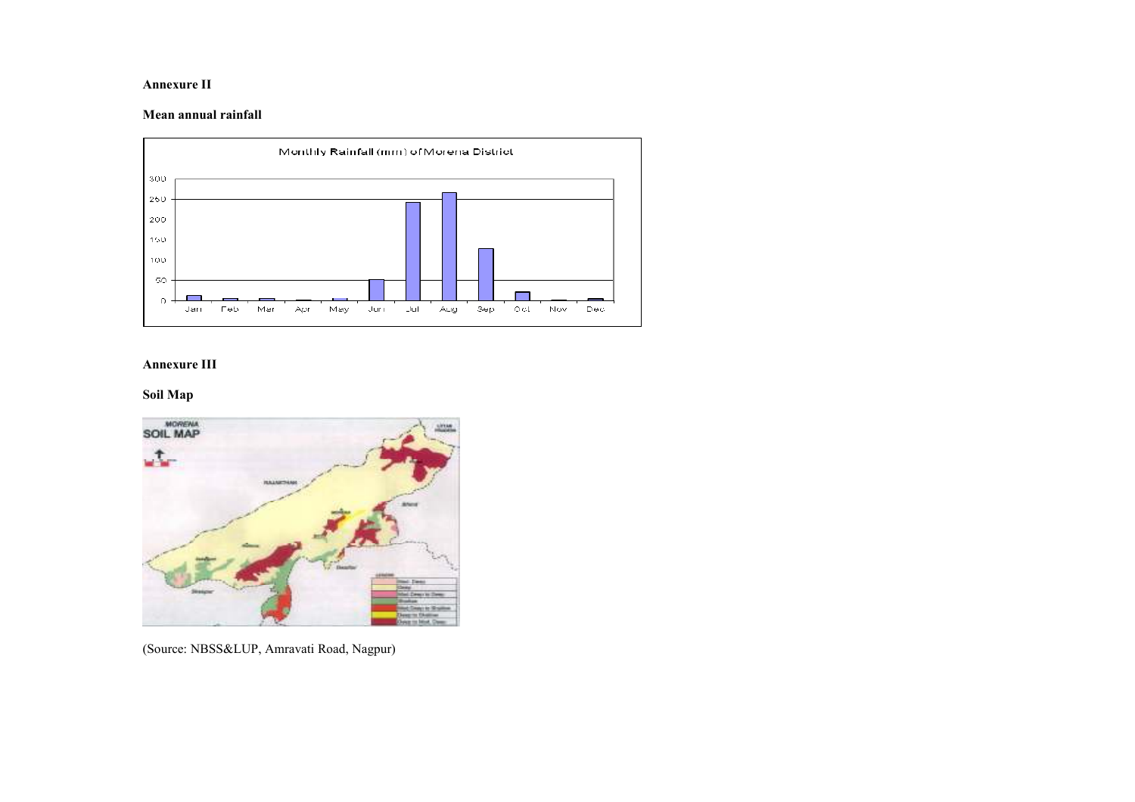#### Annexure II

#### Mean annual rainfall



#### Annexure III

#### Soil Map



(Source: NBSS&LUP, Amravati Road, Nagpur)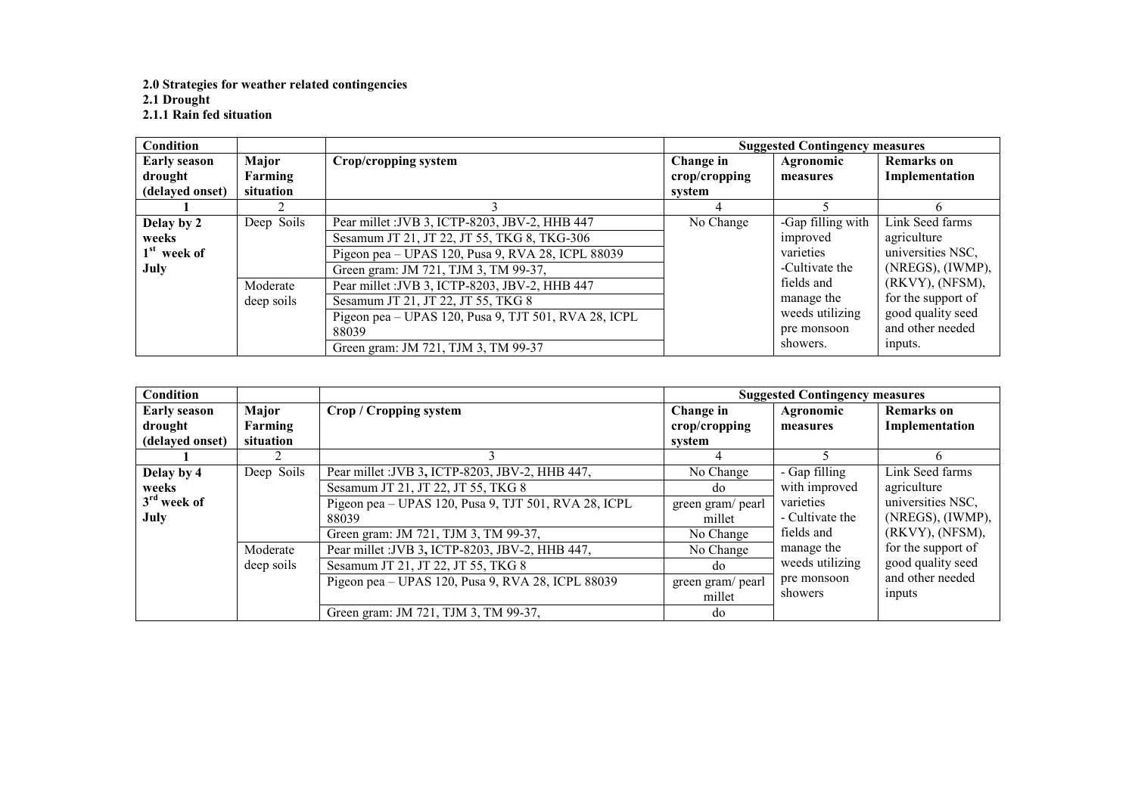# 2.0 Strategies for weather related contingencies 2.1 Drought 2.1.1 Rain fed situation

| <b>Condition</b>    |            |                                                      |               | <b>Suggested Contingency measures</b> |                    |
|---------------------|------------|------------------------------------------------------|---------------|---------------------------------------|--------------------|
| <b>Early season</b> | Major      | Crop/cropping system                                 | Change in     | Agronomic                             | <b>Remarks</b> on  |
| drought             | Farming    |                                                      | crop/cropping | measures                              | Implementation     |
| (delayed onset)     | situation  |                                                      | system        |                                       |                    |
|                     |            |                                                      |               |                                       | h.                 |
| Delay by 2          | Deep Soils | Pear millet : JVB 3, ICTP-8203, JBV-2, HHB 447       | No Change     | -Gap filling with                     | Link Seed farms    |
| weeks               |            | Sesamum JT 21, JT 22, JT 55, TKG 8, TKG-306          |               | improved                              | agriculture        |
| $1st$ week of       |            | Pigeon pea – UPAS 120, Pusa 9, RVA 28, ICPL 88039    |               | varieties                             | universities NSC,  |
| July                |            | Green gram: JM 721, TJM 3, TM 99-37,                 |               | -Cultivate the                        | (NREGS), (IWMP),   |
|                     | Moderate   | Pear millet : JVB 3, ICTP-8203, JBV-2, HHB 447       |               | fields and                            | (RKVY), (NFSM),    |
|                     | deep soils | Sesamum JT 21, JT 22, JT 55, TKG 8                   |               | manage the                            | for the support of |
|                     |            | Pigeon pea - UPAS 120, Pusa 9, TJT 501, RVA 28, ICPL |               | weeds utilizing                       | good quality seed  |
|                     |            | 88039                                                |               | pre monsoon                           | and other needed   |
|                     |            | Green gram: JM 721, TJM 3, TM 99-37                  |               | showers.                              | inputs.            |

| Condition           |            |                                                      | <b>Suggested Contingency measures</b> |                 |                    |  |
|---------------------|------------|------------------------------------------------------|---------------------------------------|-----------------|--------------------|--|
| <b>Early season</b> | Major      | Crop / Cropping system                               | Change in                             | Agronomic       | <b>Remarks</b> on  |  |
| drought             | Farming    |                                                      | $\mathbf{crop}/\mathbf{cropping}$     | measures        | Implementation     |  |
| (delayed onset)     | situation  |                                                      | system                                |                 |                    |  |
|                     |            |                                                      |                                       |                 |                    |  |
| Delay by 4          | Deep Soils | Pear millet : JVB 3, ICTP-8203, JBV-2, HHB 447,      | No Change                             | - Gap filling   | Link Seed farms    |  |
| weeks               |            | Sesamum JT 21, JT 22, JT 55, TKG 8                   | do                                    | with improved   | agriculture        |  |
| $3rd$ week of       |            | Pigeon pea – UPAS 120, Pusa 9, TJT 501, RVA 28, ICPL | green gram/ pearl                     | varieties       | universities NSC,  |  |
| <b>July</b>         |            | 88039                                                | millet                                | - Cultivate the | (NREGS), (IWMP),   |  |
|                     |            | Green gram: JM 721, TJM 3, TM 99-37,                 | No Change                             | fields and      | (RKVY), (NFSM),    |  |
|                     | Moderate   | Pear millet : JVB 3, ICTP-8203, JBV-2, HHB 447,      | No Change                             | manage the      | for the support of |  |
|                     | deep soils | Sesamum JT 21, JT 22, JT 55, TKG 8                   | do                                    | weeds utilizing | good quality seed  |  |
|                     |            | Pigeon pea – UPAS 120, Pusa 9, RVA 28, ICPL 88039    | green gram/ pearl                     | pre monsoon     | and other needed   |  |
|                     |            |                                                      | millet                                | showers         | inputs             |  |
|                     |            | Green gram: JM 721, TJM 3, TM 99-37,                 | do                                    |                 |                    |  |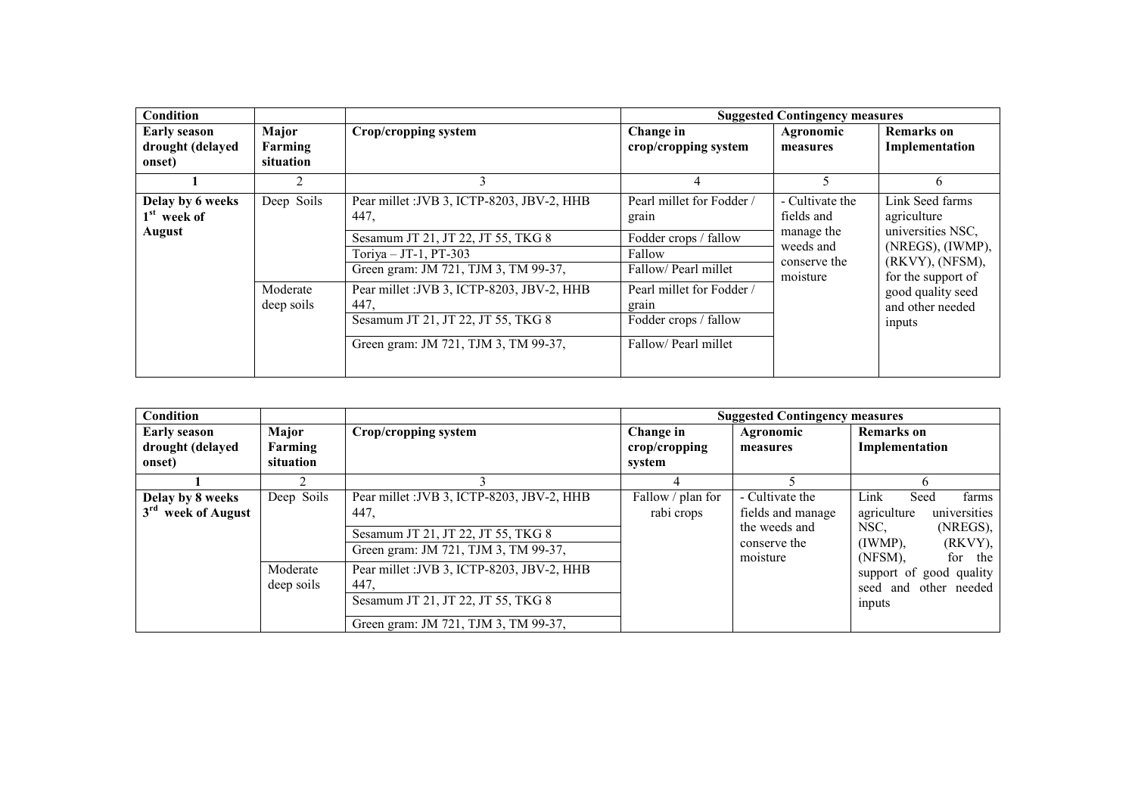| Condition                                          |                               |                                                                                                                                                             |                                                                                              | <b>Suggested Contingency measures</b>                                                |                                                                                                                  |
|----------------------------------------------------|-------------------------------|-------------------------------------------------------------------------------------------------------------------------------------------------------------|----------------------------------------------------------------------------------------------|--------------------------------------------------------------------------------------|------------------------------------------------------------------------------------------------------------------|
| <b>Early season</b><br>drought (delayed<br>onset)  | Major<br>Farming<br>situation | Crop/cropping system                                                                                                                                        | Change in<br>crop/cropping system                                                            | Agronomic<br>measures                                                                | <b>Remarks</b> on<br>Implementation                                                                              |
|                                                    | 2                             | 3                                                                                                                                                           | 4                                                                                            | 5                                                                                    | 6                                                                                                                |
| Delay by 6 weeks<br>$1st$ week of<br><b>August</b> | Deep Soils                    | Pear millet : JVB 3, ICTP-8203, JBV-2, HHB<br>447,<br>Sesamum JT 21, JT 22, JT 55, TKG 8<br>Toriya $-$ JT-1, PT-303<br>Green gram: JM 721, TJM 3, TM 99-37, | Pearl millet for Fodder /<br>grain<br>Fodder crops / fallow<br>Fallow<br>Fallow/Pearl millet | - Cultivate the<br>fields and<br>manage the<br>weeds and<br>conserve the<br>moisture | Link Seed farms<br>agriculture<br>universities NSC,<br>(NREGS), (IWMP),<br>(RKVY), (NFSM),<br>for the support of |
|                                                    | Moderate<br>deep soils        | Pear millet : JVB 3, ICTP-8203, JBV-2, HHB<br>447.<br>Sesamum JT 21, JT 22, JT 55, TKG 8<br>Green gram: JM 721, TJM 3, TM 99-37,                            | Pearl millet for Fodder /<br>grain<br>Fodder crops / fallow<br>Fallow/Pearl millet           |                                                                                      | good quality seed<br>and other needed<br>inputs                                                                  |

| Condition                                             |                                      |                                                                                                                                  |                                      | <b>Suggested Contingency measures</b>                                             |                                                                                                                         |
|-------------------------------------------------------|--------------------------------------|----------------------------------------------------------------------------------------------------------------------------------|--------------------------------------|-----------------------------------------------------------------------------------|-------------------------------------------------------------------------------------------------------------------------|
| <b>Early season</b><br>drought (delayed<br>onset)     | <b>Major</b><br>Farming<br>situation | Crop/cropping system                                                                                                             | Change in<br>crop/cropping<br>system | Agronomic<br>measures                                                             | <b>Remarks</b> on<br>Implementation                                                                                     |
|                                                       |                                      |                                                                                                                                  |                                      |                                                                                   | h                                                                                                                       |
| Delay by 8 weeks<br>3 <sup>rd</sup><br>week of August | Deep Soils                           | Pear millet : JVB 3, ICTP-8203, JBV-2, HHB<br>447.<br>Sesamum JT 21, JT 22, JT 55, TKG 8<br>Green gram: JM 721, TJM 3, TM 99-37, | Fallow / plan for<br>rabi crops      | - Cultivate the<br>fields and manage<br>the weeds and<br>conserve the<br>moisture | Seed<br>farms<br>Link<br>universities<br>agriculture<br>(NREGS),<br>NSC.<br>(RKVY),<br>$(IWMP)$ .<br>(NFSM).<br>for the |
|                                                       | Moderate<br>deep soils               | Pear millet : JVB 3, ICTP-8203, JBV-2, HHB<br>447.<br>Sesamum JT 21, JT 22, JT 55, TKG 8<br>Green gram: JM 721, TJM 3, TM 99-37, |                                      |                                                                                   | support of good quality<br>seed and<br>other needed<br>inputs                                                           |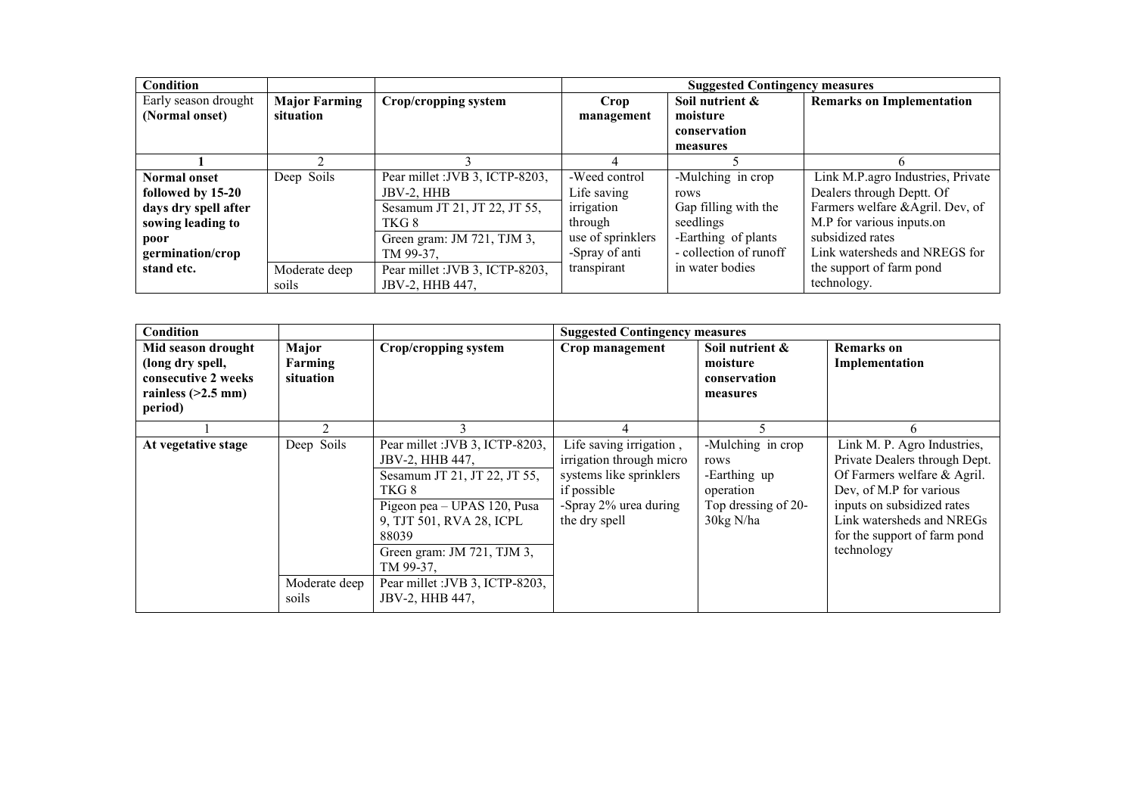| <b>Condition</b>     |                      |                                 | <b>Suggested Contingency measures</b> |                        |                                   |  |
|----------------------|----------------------|---------------------------------|---------------------------------------|------------------------|-----------------------------------|--|
| Early season drought | <b>Major Farming</b> | Crop/cropping system            | Crop                                  | Soil nutrient &        | <b>Remarks on Implementation</b>  |  |
| (Normal onset)       | situation            |                                 | management                            | moisture               |                                   |  |
|                      |                      |                                 |                                       | conservation           |                                   |  |
|                      |                      |                                 |                                       | measures               |                                   |  |
|                      |                      |                                 |                                       |                        |                                   |  |
| <b>Normal onset</b>  | Deep Soils           | Pear millet : JVB 3, ICTP-8203, | -Weed control                         | -Mulching in crop      | Link M.P.agro Industries, Private |  |
| followed by 15-20    |                      | JBV-2, HHB                      | Life saving                           | rows                   | Dealers through Deptt. Of         |  |
| days dry spell after |                      | Sesamum JT 21, JT 22, JT 55,    | irrigation                            | Gap filling with the   | Farmers welfare &Agril. Dev, of   |  |
| sowing leading to    |                      | TKG 8-                          | through                               | seedlings              | M.P for various inputs.on         |  |
| poor                 |                      | Green gram: JM 721, TJM 3,      | use of sprinklers                     | -Earthing of plants    | subsidized rates                  |  |
| germination/crop     |                      | TM 99-37.                       | -Spray of anti                        | - collection of runoff | Link watersheds and NREGS for     |  |
| stand etc.           | Moderate deep        | Pear millet : JVB 3, ICTP-8203, | transpirant                           | in water bodies        | the support of farm pond          |  |
|                      | soils                | JBV-2, HHB 447,                 |                                       |                        | technology.                       |  |

| <b>Condition</b>                                                                                 |                               |                                                                                                                                                                                                           | <b>Suggested Contingency measures</b>                                                                                                   |                                                                                            |                                                                                                                                                                                                                                 |
|--------------------------------------------------------------------------------------------------|-------------------------------|-----------------------------------------------------------------------------------------------------------------------------------------------------------------------------------------------------------|-----------------------------------------------------------------------------------------------------------------------------------------|--------------------------------------------------------------------------------------------|---------------------------------------------------------------------------------------------------------------------------------------------------------------------------------------------------------------------------------|
| Mid season drought<br>(long dry spell,<br>consecutive 2 weeks<br>rainless $(>2.5$ mm)<br>period) | Major<br>Farming<br>situation | Crop/cropping system                                                                                                                                                                                      | Crop management                                                                                                                         | Soil nutrient &<br>moisture<br>conservation<br>measures                                    | <b>Remarks</b> on<br>Implementation                                                                                                                                                                                             |
|                                                                                                  |                               |                                                                                                                                                                                                           |                                                                                                                                         |                                                                                            | n                                                                                                                                                                                                                               |
| At vegetative stage                                                                              | Deep Soils                    | Pear millet : JVB 3, ICTP-8203,<br>JBV-2, HHB 447,<br>Sesamum JT 21, JT 22, JT 55,<br>TKG8<br>Pigeon pea - UPAS 120, Pusa<br>9, TJT 501, RVA 28, ICPL<br>88039<br>Green gram: JM 721, TJM 3,<br>TM 99-37. | Life saving irrigation,<br>irrigation through micro<br>systems like sprinklers<br>if possible<br>-Spray 2% urea during<br>the dry spell | -Mulching in crop<br>rows<br>-Earthing up<br>operation<br>Top dressing of 20-<br>30kg N/ha | Link M. P. Agro Industries,<br>Private Dealers through Dept.<br>Of Farmers welfare & Agril.<br>Dev, of M.P for various<br>inputs on subsidized rates<br>Link watersheds and NREGs<br>for the support of farm pond<br>technology |
|                                                                                                  | Moderate deep<br>soils        | Pear millet : JVB 3, ICTP-8203,<br>JBV-2, HHB 447,                                                                                                                                                        |                                                                                                                                         |                                                                                            |                                                                                                                                                                                                                                 |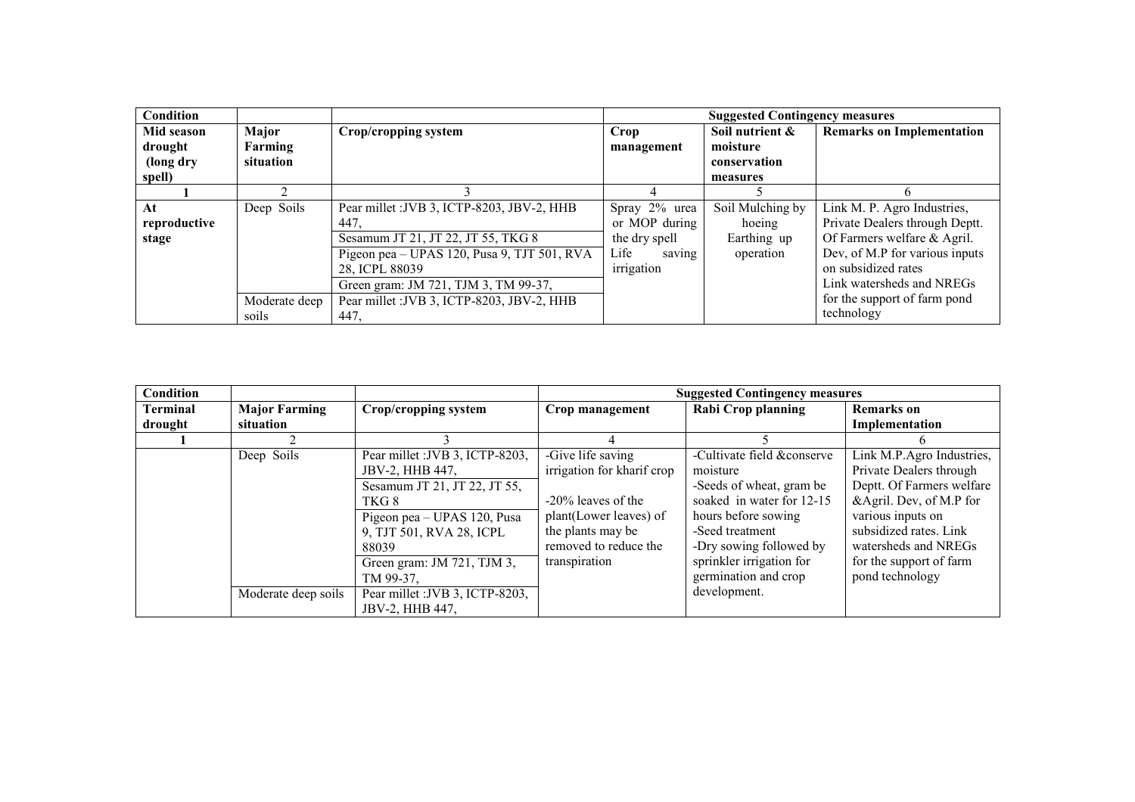| <b>Condition</b> |               |                                             |                | <b>Suggested Contingency measures</b> |                                  |
|------------------|---------------|---------------------------------------------|----------------|---------------------------------------|----------------------------------|
| Mid season       | Major         | Crop/cropping system                        | Crop           | Soil nutrient &                       | <b>Remarks on Implementation</b> |
| drought          | Farming       |                                             | management     | moisture                              |                                  |
| (long dry        | situation     |                                             |                | conservation                          |                                  |
| spell)           |               |                                             |                | measures                              |                                  |
|                  |               |                                             |                |                                       |                                  |
| At               | Deep Soils    | Pear millet : JVB 3, ICTP-8203, JBV-2, HHB  | Spray 2% urea  | Soil Mulching by                      | Link M. P. Agro Industries,      |
| reproductive     |               | 447.                                        | or MOP during  | hoeing                                | Private Dealers through Deptt.   |
| stage            |               | Sesamum JT 21, JT 22, JT 55, TKG 8          | the dry spell  | Earthing up                           | Of Farmers welfare & Agril.      |
|                  |               | Pigeon pea - UPAS 120, Pusa 9, TJT 501, RVA | Life<br>saving | operation                             | Dev, of M.P for various inputs   |
|                  |               | 28, ICPL 88039                              | irrigation     |                                       | on subsidized rates              |
|                  |               | Green gram: JM 721, TJM 3, TM 99-37,        |                |                                       | Link watersheds and NREGs        |
|                  | Moderate deep | Pear millet : JVB 3, ICTP-8203, JBV-2, HHB  |                |                                       | for the support of farm pond     |
|                  | soils         | 447.                                        |                |                                       | technology                       |

| <b>Condition</b> |                      |                                 |                            | <b>Suggested Contingency measures</b> |                           |
|------------------|----------------------|---------------------------------|----------------------------|---------------------------------------|---------------------------|
| Terminal         | <b>Major Farming</b> | Crop/cropping system            | Crop management            | <b>Rabi Crop planning</b>             | <b>Remarks</b> on         |
| drought          | situation            |                                 |                            |                                       | Implementation            |
|                  |                      |                                 |                            |                                       |                           |
|                  | Deep Soils           | Pear millet : JVB 3, ICTP-8203, | -Give life saving          | -Cultivate field &conserve            | Link M.P.Agro Industries, |
|                  |                      | <b>JBV-2, HHB 447.</b>          | irrigation for kharif crop | moisture                              | Private Dealers through   |
|                  |                      | Sesamum JT 21, JT 22, JT 55,    |                            | -Seeds of wheat, gram be              | Deptt. Of Farmers welfare |
|                  |                      | TKG8                            | $-20\%$ leaves of the      | soaked in water for 12-15             | & Agril. Dev, of M.P for  |
|                  |                      | Pigeon pea - UPAS 120, Pusa     | plant(Lower leaves) of     | hours before sowing                   | various inputs on         |
|                  |                      | 9, TJT 501, RVA 28, ICPL        | the plants may be          | -Seed treatment                       | subsidized rates. Link    |
|                  |                      | 88039                           | removed to reduce the      | -Dry sowing followed by               | watersheds and NREGs      |
|                  |                      | Green gram: JM 721, TJM 3,      | transpiration              | sprinkler irrigation for              | for the support of farm   |
|                  |                      | TM 99-37.                       |                            | germination and crop                  | pond technology           |
|                  | Moderate deep soils  | Pear millet : JVB 3, ICTP-8203, |                            | development.                          |                           |
|                  |                      | JBV-2, HHB 447.                 |                            |                                       |                           |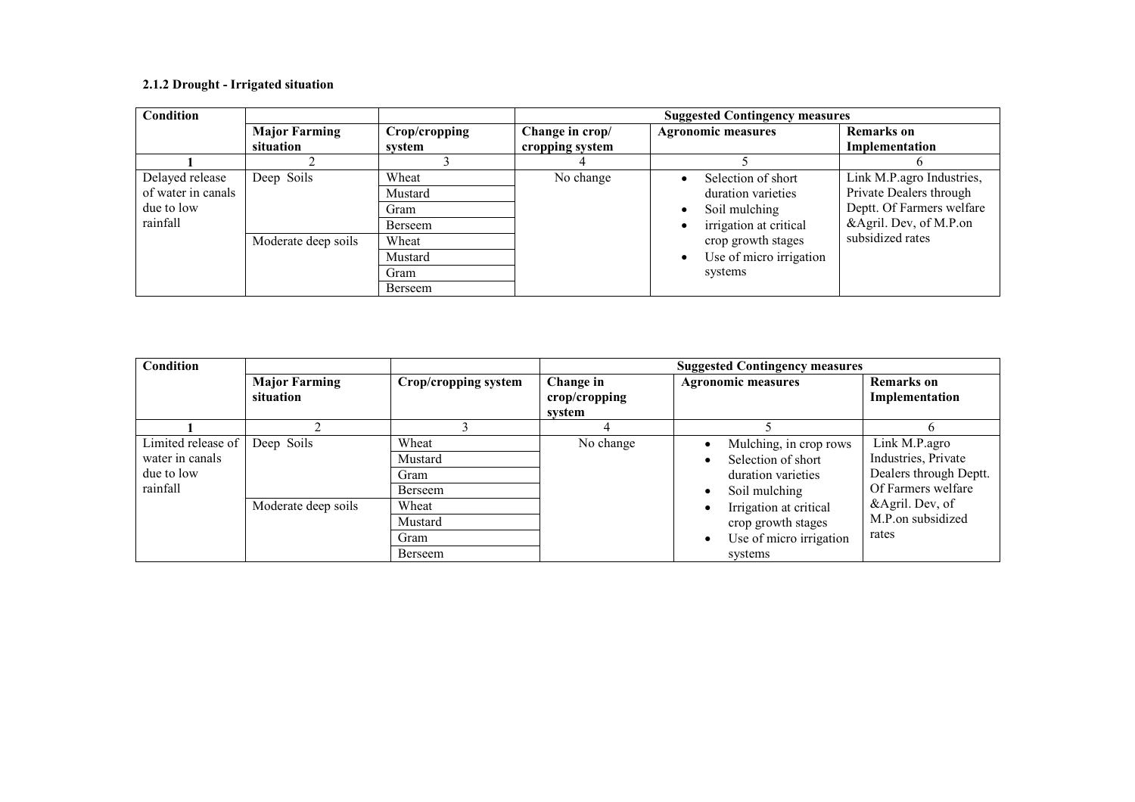#### 2.1.2 Drought - Irrigated situation

| Condition          |                      |               | <b>Suggested Contingency measures</b> |                              |                           |  |
|--------------------|----------------------|---------------|---------------------------------------|------------------------------|---------------------------|--|
|                    | <b>Major Farming</b> | Crop/cropping | Change in crop/                       | <b>Agronomic measures</b>    | <b>Remarks</b> on         |  |
|                    | situation            | system        | cropping system                       |                              | Implementation            |  |
|                    |                      |               |                                       |                              |                           |  |
| Delayed release    | Deep Soils           | Wheat         | No change                             | Selection of short           | Link M.P.agro Industries, |  |
| of water in canals |                      | Mustard       |                                       | duration varieties           | Private Dealers through   |  |
| due to low         |                      | Gram          |                                       | Soil mulching                | Deptt. Of Farmers welfare |  |
| rainfall           |                      | Berseem       |                                       | irrigation at critical       | &Agril. Dev, of M.P.on    |  |
|                    | Moderate deep soils  | Wheat         |                                       | crop growth stages           | subsidized rates          |  |
|                    |                      | Mustard       |                                       | Use of micro irrigation<br>٠ |                           |  |
|                    |                      | Gram          |                                       | systems                      |                           |  |
|                    |                      | Berseem       |                                       |                              |                           |  |

| <b>Condition</b>                                                |                                   |                                     | <b>Suggested Contingency measures</b> |                                                                                                       |                                                                                      |  |
|-----------------------------------------------------------------|-----------------------------------|-------------------------------------|---------------------------------------|-------------------------------------------------------------------------------------------------------|--------------------------------------------------------------------------------------|--|
|                                                                 | <b>Major Farming</b><br>situation | Crop/cropping system                | Change in<br>crop/cropping<br>system  | <b>Agronomic measures</b>                                                                             | <b>Remarks</b> on<br>Implementation                                                  |  |
|                                                                 |                                   |                                     |                                       |                                                                                                       |                                                                                      |  |
| Limited release of<br>water in canals<br>due to low<br>rainfall | Deep Soils                        | Wheat<br>Mustard<br>Gram<br>Berseem | No change                             | Mulching, in crop rows<br>Selection of short<br>$\bullet$<br>duration varieties<br>Soil mulching<br>٠ | Link M.P.agro<br>Industries, Private<br>Dealers through Deptt.<br>Of Farmers welfare |  |
|                                                                 | Moderate deep soils               | Wheat<br>Mustard<br>Gram<br>Berseem |                                       | Irrigation at critical<br>crop growth stages<br>Use of micro irrigation<br>$\bullet$<br>systems       | &Agril. Dev, of<br>M.P.on subsidized<br>rates                                        |  |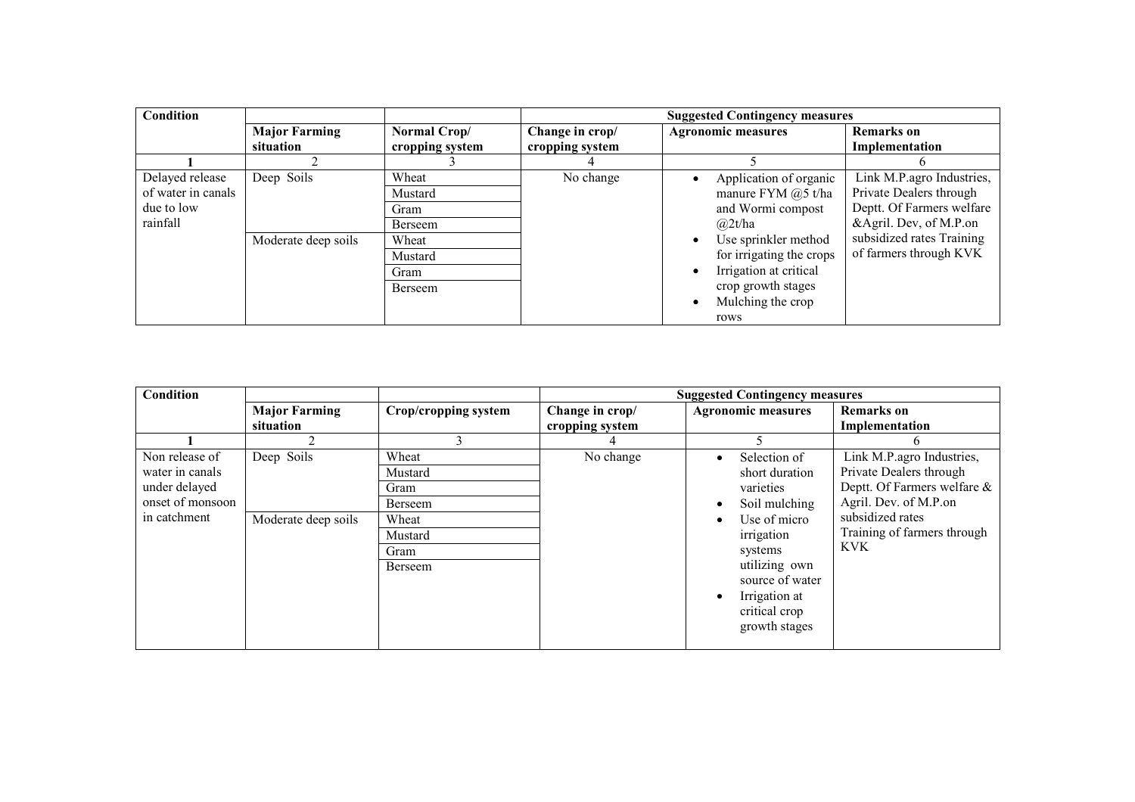| Condition          |                      |                 | <b>Suggested Contingency measures</b> |                                     |                           |  |
|--------------------|----------------------|-----------------|---------------------------------------|-------------------------------------|---------------------------|--|
|                    | <b>Major Farming</b> | Normal Crop/    | Change in crop/                       | <b>Agronomic measures</b>           | <b>Remarks</b> on         |  |
|                    | situation            | cropping system | cropping system                       |                                     | Implementation            |  |
|                    |                      |                 |                                       |                                     |                           |  |
| Delayed release    | Deep Soils           | Wheat           | No change                             | Application of organic              | Link M.P.agro Industries, |  |
| of water in canals |                      | Mustard         |                                       | manure FYM $@5$ t/ha                | Private Dealers through   |  |
| due to low         |                      | Gram            |                                       | and Wormi compost                   | Deptt. Of Farmers welfare |  |
| rainfall           |                      | Berseem         |                                       | (a)2t/ha                            | &Agril. Dev, of M.P.on    |  |
|                    | Moderate deep soils  | Wheat           |                                       | Use sprinkler method<br>$\bullet$   | subsidized rates Training |  |
|                    |                      | Mustard         |                                       | for irrigating the crops            | of farmers through KVK    |  |
|                    |                      | Gram            |                                       | Irrigation at critical<br>$\bullet$ |                           |  |
|                    |                      | Berseem         |                                       | crop growth stages                  |                           |  |
|                    |                      |                 |                                       | Mulching the crop<br>$\bullet$      |                           |  |
|                    |                      |                 |                                       | rows                                |                           |  |

| <b>Condition</b>                                                                       |                                   |                                                                            |                                    | <b>Suggested Contingency measures</b>                                                                                                                                                                                                    |                                                                                                                                                                               |
|----------------------------------------------------------------------------------------|-----------------------------------|----------------------------------------------------------------------------|------------------------------------|------------------------------------------------------------------------------------------------------------------------------------------------------------------------------------------------------------------------------------------|-------------------------------------------------------------------------------------------------------------------------------------------------------------------------------|
|                                                                                        | <b>Major Farming</b><br>situation | Crop/cropping system                                                       | Change in crop/<br>cropping system | <b>Agronomic measures</b>                                                                                                                                                                                                                | <b>Remarks</b> on<br>Implementation                                                                                                                                           |
|                                                                                        |                                   |                                                                            |                                    |                                                                                                                                                                                                                                          |                                                                                                                                                                               |
| Non release of<br>water in canals<br>under delayed<br>onset of monsoon<br>in catchment | Deep Soils<br>Moderate deep soils | Wheat<br>Mustard<br>Gram<br>Berseem<br>Wheat<br>Mustard<br>Gram<br>Berseem | No change                          | Selection of<br>$\bullet$<br>short duration<br>varieties<br>Soil mulching<br>$\bullet$<br>Use of micro<br>٠<br>irrigation<br>systems<br>utilizing own<br>source of water<br>Irrigation at<br>$\bullet$<br>critical crop<br>growth stages | Link M.P.agro Industries,<br>Private Dealers through<br>Deptt. Of Farmers welfare &<br>Agril. Dev. of M.P.on<br>subsidized rates<br>Training of farmers through<br><b>KVK</b> |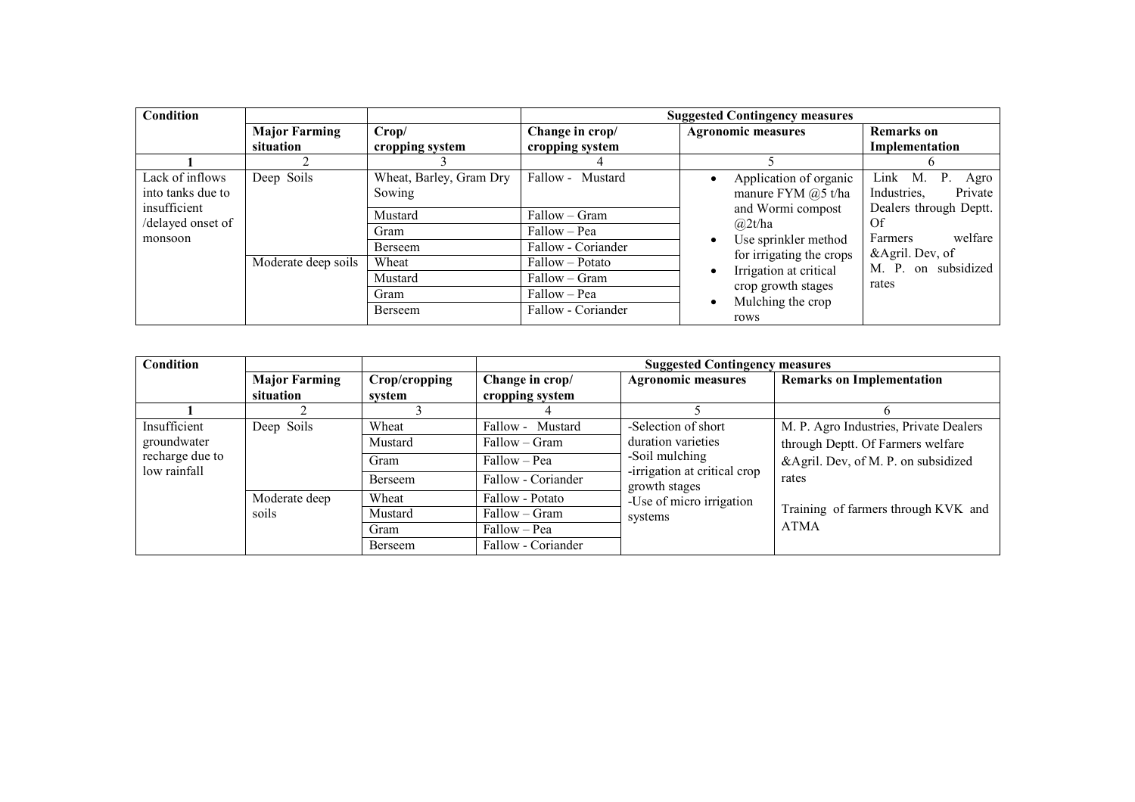| <b>Condition</b>                                     |                      |                                   | <b>Suggested Contingency measures</b> |                                                                   |                                                                                       |  |
|------------------------------------------------------|----------------------|-----------------------------------|---------------------------------------|-------------------------------------------------------------------|---------------------------------------------------------------------------------------|--|
|                                                      | <b>Major Farming</b> | Crop/                             | Change in crop/                       | <b>Agronomic measures</b>                                         | <b>Remarks</b> on                                                                     |  |
|                                                      | situation            | cropping system                   | cropping system                       |                                                                   | Implementation                                                                        |  |
|                                                      |                      |                                   |                                       |                                                                   |                                                                                       |  |
| Lack of inflows<br>into tanks due to<br>insufficient | Deep Soils           | Wheat, Barley, Gram Dry<br>Sowing | Fallow - Mustard                      | Application of organic<br>manure FYM @5 t/ha<br>and Wormi compost | Link<br>M.<br>$P_{\perp}$<br>Agro<br>Private<br>Industries,<br>Dealers through Deptt. |  |
| /delayed onset of                                    |                      | Mustard                           | Fallow – Gram                         | (a)2t/ha                                                          | Of                                                                                    |  |
| monsoon                                              |                      | Gram                              | Fallow – Pea                          | Use sprinkler method                                              | welfare<br>Farmers                                                                    |  |
|                                                      |                      | Berseem                           | Fallow - Coriander                    | for irrigating the crops                                          | &Agril. Dev, of<br>on subsidized<br>M. P.                                             |  |
|                                                      | Moderate deep soils  | Wheat                             | Fallow – Potato                       | Irrigation at critical                                            |                                                                                       |  |
|                                                      |                      | Mustard                           | Fallow – Gram                         |                                                                   | rates                                                                                 |  |
|                                                      |                      | Gram                              | Fallow - Pea                          | crop growth stages<br>Mulching the crop                           |                                                                                       |  |
|                                                      |                      | Berseem                           | Fallow - Coriander                    | rows                                                              |                                                                                       |  |

| <b>Condition</b>                               |                                   |                          | <b>Suggested Contingency measures</b>            |                                                                                      |                                                                             |
|------------------------------------------------|-----------------------------------|--------------------------|--------------------------------------------------|--------------------------------------------------------------------------------------|-----------------------------------------------------------------------------|
|                                                | <b>Major Farming</b><br>situation | Crop/cropping<br>system  | Change in crop/<br>cropping system               | <b>Agronomic measures</b>                                                            | <b>Remarks on Implementation</b>                                            |
|                                                |                                   |                          |                                                  |                                                                                      |                                                                             |
| Insufficient<br>groundwater<br>recharge due to | Deep Soils                        | Wheat<br>Mustard         | Fallow - Mustard<br>Fallow – Gram                | -Selection of short<br>duration varieties<br>-Soil mulching                          | M. P. Agro Industries, Private Dealers<br>through Deptt. Of Farmers welfare |
| low rainfall                                   |                                   | Gram<br>Berseem          | Fallow – Pea<br>Fallow - Coriander               | -irrigation at critical crop<br>growth stages<br>-Use of micro irrigation<br>systems | &Agril. Dev, of M. P. on subsidized<br>rates                                |
|                                                | Moderate deep<br>soils            | Wheat<br>Mustard<br>Gram | Fallow - Potato<br>Fallow – Gram<br>Fallow – Pea |                                                                                      | Training of farmers through KVK and<br><b>ATMA</b>                          |
|                                                |                                   | Berseem                  | Fallow - Coriander                               |                                                                                      |                                                                             |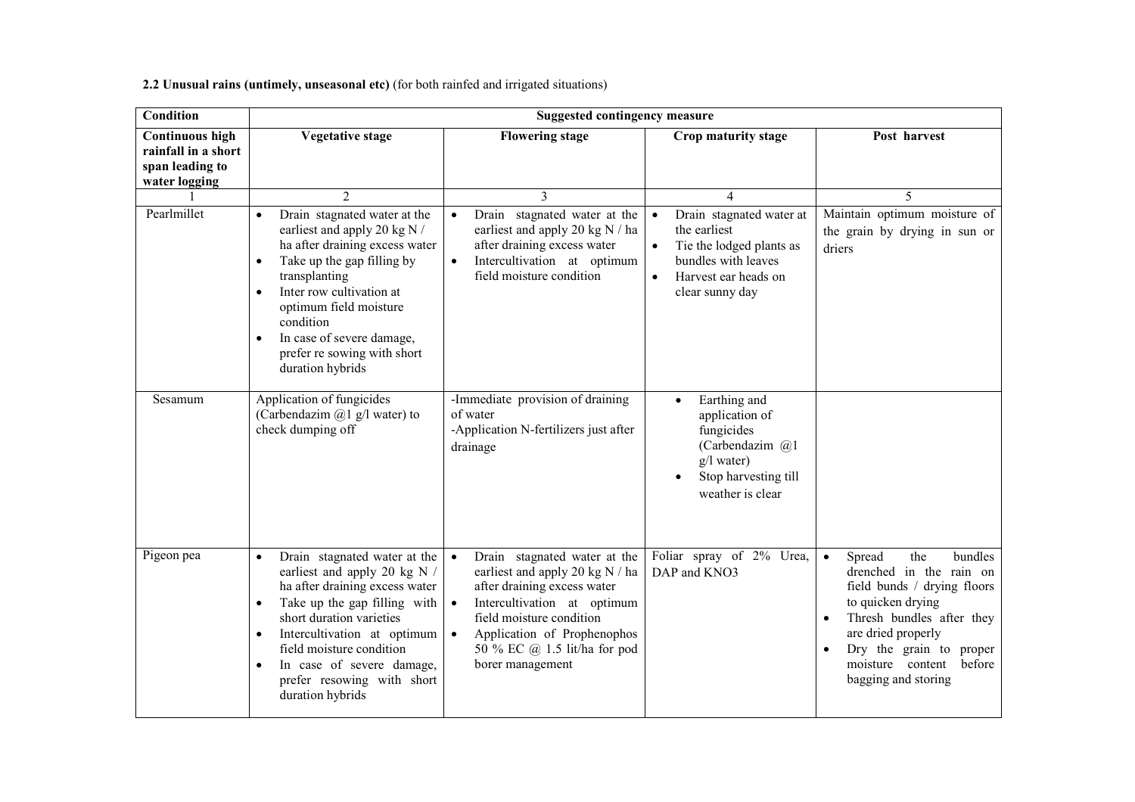2.2 Unusual rains (untimely, unseasonal etc) (for both rainfed and irrigated situations)

| <b>Condition</b>                                                                  |                                                                                                                                                                                                                                                                                                                                                                        | <b>Suggested contingency measure</b>                                                                                                                                                                                                                                   |                                                                                                                                                                                    |                                                                                                                                                                                                                                                                      |
|-----------------------------------------------------------------------------------|------------------------------------------------------------------------------------------------------------------------------------------------------------------------------------------------------------------------------------------------------------------------------------------------------------------------------------------------------------------------|------------------------------------------------------------------------------------------------------------------------------------------------------------------------------------------------------------------------------------------------------------------------|------------------------------------------------------------------------------------------------------------------------------------------------------------------------------------|----------------------------------------------------------------------------------------------------------------------------------------------------------------------------------------------------------------------------------------------------------------------|
| <b>Continuous high</b><br>rainfall in a short<br>span leading to<br>water logging | <b>Vegetative stage</b>                                                                                                                                                                                                                                                                                                                                                | <b>Flowering stage</b>                                                                                                                                                                                                                                                 | Crop maturity stage                                                                                                                                                                | Post harvest                                                                                                                                                                                                                                                         |
| Pearlmillet                                                                       | $\overline{2}$<br>Drain stagnated water at the<br>$\bullet$<br>earliest and apply 20 kg N /<br>ha after draining excess water<br>Take up the gap filling by<br>$\bullet$<br>transplanting<br>Inter row cultivation at<br>$\bullet$<br>optimum field moisture<br>condition<br>In case of severe damage,<br>$\bullet$<br>prefer re sowing with short<br>duration hybrids | 3<br>Drain stagnated water at the<br>$\bullet$<br>earliest and apply 20 kg N / ha<br>after draining excess water<br>Intercultivation at optimum<br>$\bullet$<br>field moisture condition                                                                               | 4<br>Drain stagnated water at<br>$\bullet$<br>the earliest<br>Tie the lodged plants as<br>$\bullet$<br>bundles with leaves<br>Harvest ear heads on<br>$\bullet$<br>clear sunny day | $\overline{5}$<br>Maintain optimum moisture of<br>the grain by drying in sun or<br>driers                                                                                                                                                                            |
| Sesamum                                                                           | Application of fungicides<br>(Carbendazim $(a)$ 1 g/l water) to<br>check dumping off                                                                                                                                                                                                                                                                                   | -Immediate provision of draining<br>of water<br>-Application N-fertilizers just after<br>drainage                                                                                                                                                                      | Earthing and<br>$\bullet$<br>application of<br>fungicides<br>(Carbendazim @1<br>g/l water)<br>Stop harvesting till<br>weather is clear                                             |                                                                                                                                                                                                                                                                      |
| Pigeon pea                                                                        | Drain stagnated water at the<br>$\bullet$<br>earliest and apply 20 kg N /<br>ha after draining excess water<br>Take up the gap filling with<br>$\bullet$<br>short duration varieties<br>Intercultivation at optimum<br>$\bullet$<br>field moisture condition<br>In case of severe damage,<br>$\bullet$<br>prefer resowing with short<br>duration hybrids               | Drain stagnated water at the<br>$\bullet$<br>earliest and apply 20 kg N / ha<br>after draining excess water<br>Intercultivation at optimum<br>field moisture condition<br>Application of Prophenophos<br>$\bullet$<br>50 % EC @ 1.5 lit/ha for pod<br>borer management | Foliar spray of 2% Urea,<br>DAP and KNO3                                                                                                                                           | Spread<br>the<br>bundles<br>$\bullet$<br>drenched in the rain on<br>field bunds / drying floors<br>to quicken drying<br>Thresh bundles after they<br>are dried properly<br>Dry the grain to proper<br>$\bullet$<br>moisture content<br>before<br>bagging and storing |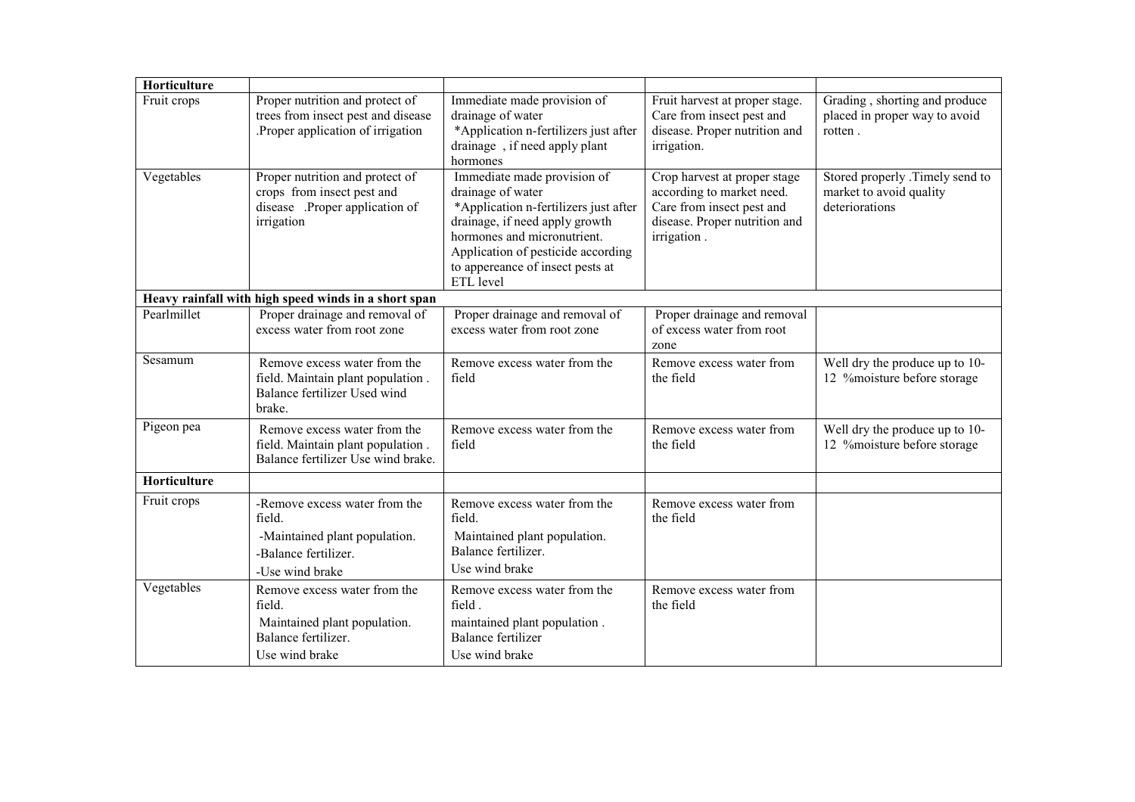| Horticulture |                                                                                                                     |                                                                                                                                                                                                                                                   |                                                                                                                                        |                                                                              |
|--------------|---------------------------------------------------------------------------------------------------------------------|---------------------------------------------------------------------------------------------------------------------------------------------------------------------------------------------------------------------------------------------------|----------------------------------------------------------------------------------------------------------------------------------------|------------------------------------------------------------------------------|
| Fruit crops  | Proper nutrition and protect of<br>trees from insect pest and disease<br>Proper application of irrigation.          | Immediate made provision of<br>drainage of water<br>*Application n-fertilizers just after<br>drainage, if need apply plant<br>hormones                                                                                                            | Fruit harvest at proper stage.<br>Care from insect pest and<br>disease. Proper nutrition and<br>irrigation.                            | Grading, shorting and produce<br>placed in proper way to avoid<br>rotten.    |
| Vegetables   | Proper nutrition and protect of<br>crops from insect pest and<br>disease .Proper application of<br>irrigation       | Immediate made provision of<br>drainage of water<br>*Application n-fertilizers just after<br>drainage, if need apply growth<br>hormones and micronutrient.<br>Application of pesticide according<br>to appereance of insect pests at<br>ETL level | Crop harvest at proper stage<br>according to market need.<br>Care from insect pest and<br>disease. Proper nutrition and<br>irrigation. | Stored properly .Timely send to<br>market to avoid quality<br>deteriorations |
|              | Heavy rainfall with high speed winds in a short span                                                                |                                                                                                                                                                                                                                                   |                                                                                                                                        |                                                                              |
| Pearlmillet  | Proper drainage and removal of<br>excess water from root zone                                                       | Proper drainage and removal of<br>excess water from root zone                                                                                                                                                                                     | Proper drainage and removal<br>of excess water from root<br>zone                                                                       |                                                                              |
| Sesamum      | Remove excess water from the<br>field. Maintain plant population.<br>Balance fertilizer Used wind<br>brake.         | Remove excess water from the<br>field                                                                                                                                                                                                             | Remove excess water from<br>the field                                                                                                  | Well dry the produce up to 10-<br>12 % moisture before storage               |
| Pigeon pea   | Remove excess water from the<br>field. Maintain plant population.<br>Balance fertilizer Use wind brake.             | Remove excess water from the<br>field                                                                                                                                                                                                             | Remove excess water from<br>the field                                                                                                  | Well dry the produce up to 10-<br>12 % moisture before storage               |
| Horticulture |                                                                                                                     |                                                                                                                                                                                                                                                   |                                                                                                                                        |                                                                              |
| Fruit crops  | -Remove excess water from the<br>field.<br>-Maintained plant population.<br>-Balance fertilizer.<br>-Use wind brake | Remove excess water from the<br>field.<br>Maintained plant population.<br>Balance fertilizer.<br>Use wind brake                                                                                                                                   | Remove excess water from<br>the field                                                                                                  |                                                                              |
| Vegetables   | Remove excess water from the<br>field.<br>Maintained plant population.<br>Balance fertilizer.<br>Use wind brake     | Remove excess water from the<br>field.<br>maintained plant population.<br><b>Balance fertilizer</b><br>Use wind brake                                                                                                                             | Remove excess water from<br>the field                                                                                                  |                                                                              |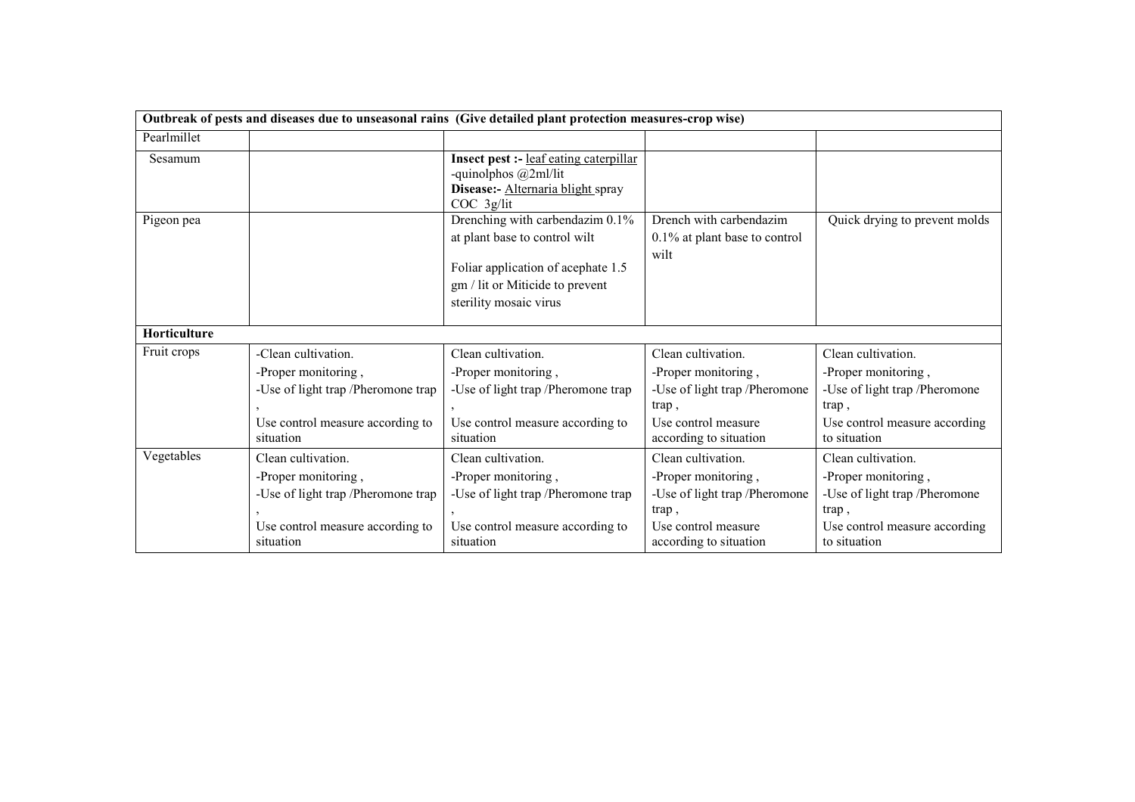|              |                                                                                                                                   | Outbreak of pests and diseases due to unseasonal rains (Give detailed plant protection measures-crop wise)                                                          |                                                                                                                                      |                                                                                                                                      |
|--------------|-----------------------------------------------------------------------------------------------------------------------------------|---------------------------------------------------------------------------------------------------------------------------------------------------------------------|--------------------------------------------------------------------------------------------------------------------------------------|--------------------------------------------------------------------------------------------------------------------------------------|
| Pearlmillet  |                                                                                                                                   |                                                                                                                                                                     |                                                                                                                                      |                                                                                                                                      |
| Sesamum      |                                                                                                                                   | <b>Insect pest :-</b> leaf eating caterpillar<br>-quinolphos $@2m1/lit$<br>Disease:- Alternaria blight spray<br>$COC$ 3g/lit                                        |                                                                                                                                      |                                                                                                                                      |
| Pigeon pea   |                                                                                                                                   | Drenching with carbendazim 0.1%<br>at plant base to control wilt<br>Foliar application of acephate 1.5<br>gm / lit or Miticide to prevent<br>sterility mosaic virus | Drench with carbendazim<br>0.1% at plant base to control<br>wilt                                                                     | Quick drying to prevent molds                                                                                                        |
| Horticulture |                                                                                                                                   |                                                                                                                                                                     |                                                                                                                                      |                                                                                                                                      |
| Fruit crops  | -Clean cultivation.<br>-Proper monitoring,<br>-Use of light trap /Pheromone trap<br>Use control measure according to<br>situation | Clean cultivation.<br>-Proper monitoring,<br>-Use of light trap /Pheromone trap<br>Use control measure according to<br>situation                                    | Clean cultivation.<br>-Proper monitoring,<br>-Use of light trap /Pheromone<br>trap,<br>Use control measure<br>according to situation | Clean cultivation.<br>-Proper monitoring,<br>-Use of light trap /Pheromone<br>trap,<br>Use control measure according<br>to situation |
| Vegetables   | Clean cultivation.<br>-Proper monitoring,<br>-Use of light trap /Pheromone trap<br>Use control measure according to<br>situation  | Clean cultivation.<br>-Proper monitoring,<br>-Use of light trap /Pheromone trap<br>Use control measure according to<br>situation                                    | Clean cultivation.<br>-Proper monitoring,<br>-Use of light trap /Pheromone<br>trap,<br>Use control measure<br>according to situation | Clean cultivation.<br>-Proper monitoring,<br>-Use of light trap /Pheromone<br>trap,<br>Use control measure according<br>to situation |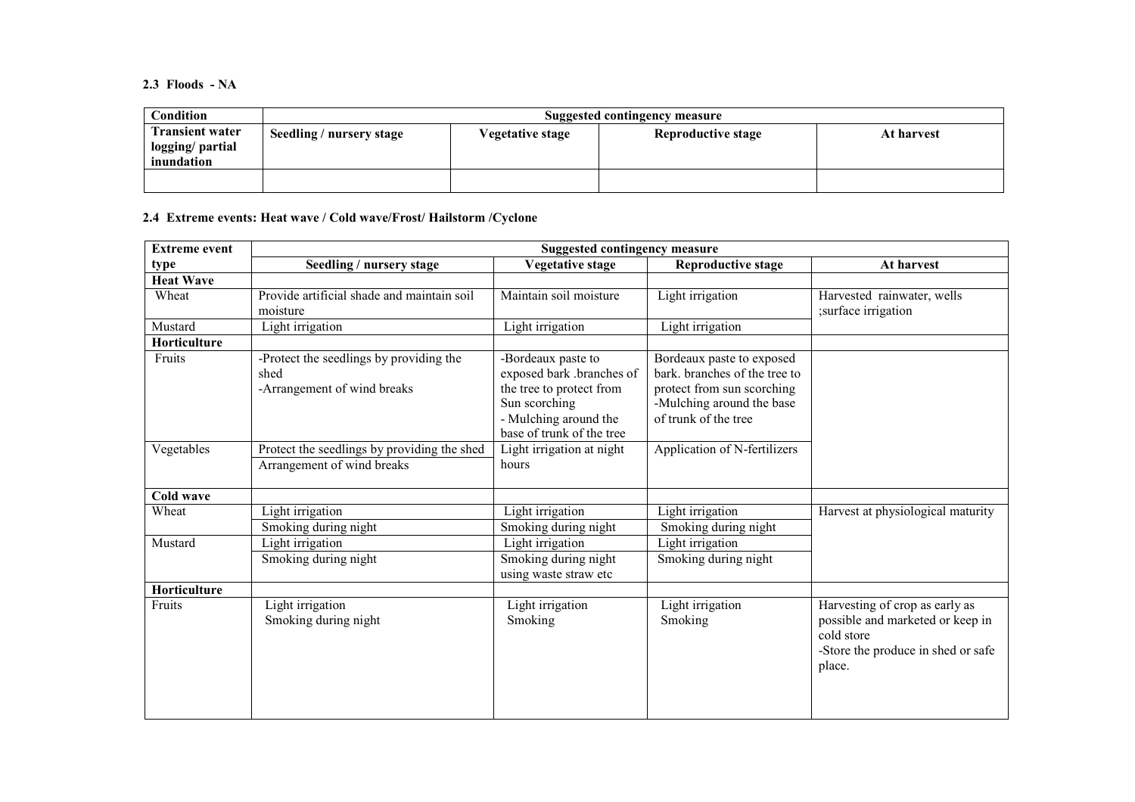2.3 Floods - NA

| Condition                                                | Suggested contingency measure |                  |                           |            |
|----------------------------------------------------------|-------------------------------|------------------|---------------------------|------------|
| <b>Transient water</b><br>logging/ partial<br>inundation | Seedling / nursery stage      | Vegetative stage | <b>Reproductive stage</b> | At harvest |
|                                                          |                               |                  |                           |            |

### 2.4 Extreme events: Heat wave / Cold wave/Frost/ Hailstorm /Cyclone

| <b>Extreme event</b> | <b>Suggested contingency measure</b>                                           |                                                                                                                                                    |                                                                                                                                               |                                                                                                                                  |  |
|----------------------|--------------------------------------------------------------------------------|----------------------------------------------------------------------------------------------------------------------------------------------------|-----------------------------------------------------------------------------------------------------------------------------------------------|----------------------------------------------------------------------------------------------------------------------------------|--|
| type                 | Seedling / nursery stage                                                       | Vegetative stage                                                                                                                                   | <b>Reproductive stage</b>                                                                                                                     | At harvest                                                                                                                       |  |
| <b>Heat Wave</b>     |                                                                                |                                                                                                                                                    |                                                                                                                                               |                                                                                                                                  |  |
| Wheat                | Provide artificial shade and maintain soil<br>moisture                         | Maintain soil moisture                                                                                                                             | Light irrigation                                                                                                                              | Harvested rainwater, wells<br>;surface irrigation                                                                                |  |
| Mustard              | Light irrigation                                                               | Light irrigation                                                                                                                                   | Light irrigation                                                                                                                              |                                                                                                                                  |  |
| <b>Horticulture</b>  |                                                                                |                                                                                                                                                    |                                                                                                                                               |                                                                                                                                  |  |
| Fruits               | -Protect the seedlings by providing the<br>shed<br>-Arrangement of wind breaks | -Bordeaux paste to<br>exposed bark .branches of<br>the tree to protect from<br>Sun scorching<br>- Mulching around the<br>base of trunk of the tree | Bordeaux paste to exposed<br>bark, branches of the tree to<br>protect from sun scorching<br>-Mulching around the base<br>of trunk of the tree |                                                                                                                                  |  |
| Vegetables           | Protect the seedlings by providing the shed<br>Arrangement of wind breaks      | Light irrigation at night<br>hours                                                                                                                 | Application of N-fertilizers                                                                                                                  |                                                                                                                                  |  |
| <b>Cold wave</b>     |                                                                                |                                                                                                                                                    |                                                                                                                                               |                                                                                                                                  |  |
| Wheat                | Light irrigation                                                               | Light irrigation                                                                                                                                   | Light irrigation                                                                                                                              | Harvest at physiological maturity                                                                                                |  |
|                      | Smoking during night                                                           | Smoking during night                                                                                                                               | Smoking during night                                                                                                                          |                                                                                                                                  |  |
| Mustard              | Light irrigation                                                               | Light irrigation                                                                                                                                   | Light irrigation                                                                                                                              |                                                                                                                                  |  |
|                      | Smoking during night                                                           | Smoking during night<br>using waste straw etc                                                                                                      | Smoking during night                                                                                                                          |                                                                                                                                  |  |
| Horticulture         |                                                                                |                                                                                                                                                    |                                                                                                                                               |                                                                                                                                  |  |
| Fruits               | Light irrigation<br>Smoking during night                                       | Light irrigation<br>Smoking                                                                                                                        | Light irrigation<br>Smoking                                                                                                                   | Harvesting of crop as early as<br>possible and marketed or keep in<br>cold store<br>-Store the produce in shed or safe<br>place. |  |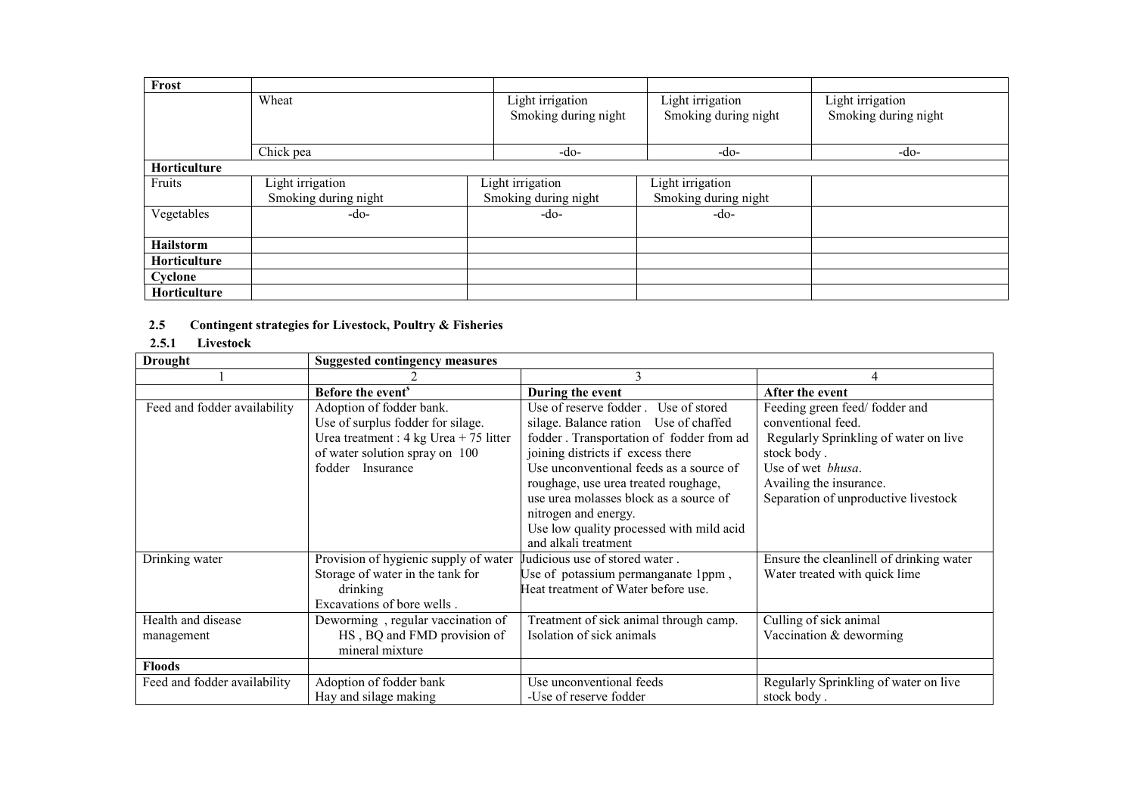| Frost               |                      |                      |                      |                      |
|---------------------|----------------------|----------------------|----------------------|----------------------|
|                     | Wheat                | Light irrigation     | Light irrigation     | Light irrigation     |
|                     |                      | Smoking during night | Smoking during night | Smoking during night |
|                     |                      |                      |                      |                      |
|                     | Chick pea            | -do-                 | $-do-$               | $-do-$               |
| Horticulture        |                      |                      |                      |                      |
| Fruits              | Light irrigation     | Light irrigation     | Light irrigation     |                      |
|                     | Smoking during night | Smoking during night | Smoking during night |                      |
| Vegetables          | $-do-$               | $-do-$               | $-do-$               |                      |
|                     |                      |                      |                      |                      |
| <b>Hailstorm</b>    |                      |                      |                      |                      |
| <b>Horticulture</b> |                      |                      |                      |                      |
| Cyclone             |                      |                      |                      |                      |
| Horticulture        |                      |                      |                      |                      |

#### 2.5Contingent strategies for Livestock, Poultry & Fisheries

### 2.5.1 Livestock

| <b>Drought</b>               | <b>Suggested contingency measures</b>            |                                          |                                          |
|------------------------------|--------------------------------------------------|------------------------------------------|------------------------------------------|
|                              |                                                  |                                          |                                          |
|                              | Before the event <sup>s</sup>                    | During the event                         | After the event                          |
| Feed and fodder availability | Adoption of fodder bank.                         | Use of reserve fodder. Use of stored     | Feeding green feed/fodder and            |
|                              | Use of surplus fodder for silage.                | silage. Balance ration Use of chaffed    | conventional feed.                       |
|                              | Urea treatment : $4 \text{ kg}$ Urea + 75 litter | fodder. Transportation of fodder from ad | Regularly Sprinkling of water on live    |
|                              | of water solution spray on 100                   | joining districts if excess there        | stock body.                              |
|                              | fodder<br>Insurance                              | Use unconventional feeds as a source of  | Use of wet <i>bhusa</i> .                |
|                              |                                                  | roughage, use urea treated roughage,     | Availing the insurance.                  |
|                              |                                                  | use urea molasses block as a source of   | Separation of unproductive livestock     |
|                              |                                                  | nitrogen and energy.                     |                                          |
|                              |                                                  | Use low quality processed with mild acid |                                          |
|                              |                                                  | and alkali treatment                     |                                          |
| Drinking water               | Provision of hygienic supply of water            | Judicious use of stored water.           | Ensure the cleanlinell of drinking water |
|                              | Storage of water in the tank for                 | Use of potassium permanganate 1ppm,      | Water treated with quick lime            |
|                              | drinking                                         | Heat treatment of Water before use.      |                                          |
|                              | Excavations of bore wells.                       |                                          |                                          |
| Health and disease           | Deworming, regular vaccination of                | Treatment of sick animal through camp.   | Culling of sick animal                   |
| management                   | HS, BQ and FMD provision of                      | Isolation of sick animals                | Vaccination & deworming                  |
|                              | mineral mixture                                  |                                          |                                          |
| <b>Floods</b>                |                                                  |                                          |                                          |
| Feed and fodder availability | Adoption of fodder bank                          | Use unconventional feeds                 | Regularly Sprinkling of water on live    |
|                              | Hay and silage making                            | -Use of reserve fodder                   | stock body.                              |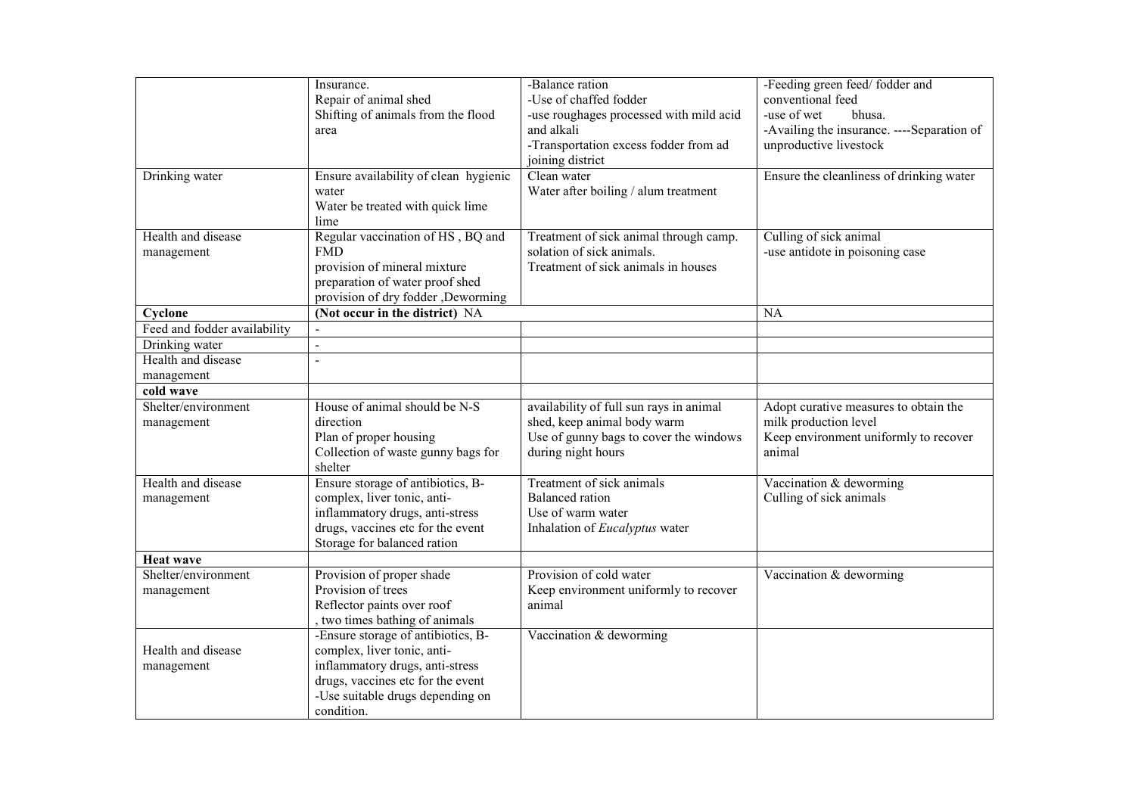|                              | Insurance.                                | -Balance ration                                           | -Feeding green feed/fodder and                                       |
|------------------------------|-------------------------------------------|-----------------------------------------------------------|----------------------------------------------------------------------|
|                              | Repair of animal shed                     | -Use of chaffed fodder                                    | conventional feed                                                    |
|                              | Shifting of animals from the flood        | -use roughages processed with mild acid<br>and alkali     | -use of wet<br>bhusa.                                                |
|                              | area                                      |                                                           | -Availing the insurance. ----Separation of<br>unproductive livestock |
|                              |                                           | -Transportation excess fodder from ad<br>joining district |                                                                      |
|                              | Ensure availability of clean hygienic     | Clean water                                               |                                                                      |
| Drinking water               |                                           | Water after boiling / alum treatment                      | Ensure the cleanliness of drinking water                             |
|                              | water<br>Water be treated with quick lime |                                                           |                                                                      |
|                              | lime                                      |                                                           |                                                                      |
| Health and disease           | Regular vaccination of HS, BQ and         | Treatment of sick animal through camp.                    | Culling of sick animal                                               |
| management                   | <b>FMD</b>                                | solation of sick animals.                                 | -use antidote in poisoning case                                      |
|                              | provision of mineral mixture              | Treatment of sick animals in houses                       |                                                                      |
|                              | preparation of water proof shed           |                                                           |                                                                      |
|                              | provision of dry fodder ,Deworming        |                                                           |                                                                      |
| Cyclone                      | (Not occur in the district) NA            |                                                           | <b>NA</b>                                                            |
| Feed and fodder availability | $\omega$                                  |                                                           |                                                                      |
| Drinking water               | $\omega$                                  |                                                           |                                                                      |
| Health and disease           | $\mathbf{r}$                              |                                                           |                                                                      |
| management                   |                                           |                                                           |                                                                      |
| cold wave                    |                                           |                                                           |                                                                      |
| Shelter/environment          | House of animal should be N-S             | availability of full sun rays in animal                   | Adopt curative measures to obtain the                                |
| management                   | direction                                 | shed, keep animal body warm                               | milk production level                                                |
|                              | Plan of proper housing                    | Use of gunny bags to cover the windows                    | Keep environment uniformly to recover                                |
|                              | Collection of waste gunny bags for        | during night hours                                        | animal                                                               |
|                              | shelter                                   |                                                           |                                                                      |
| Health and disease           | Ensure storage of antibiotics, B-         | Treatment of sick animals                                 | Vaccination & deworming                                              |
| management                   | complex, liver tonic, anti-               | <b>Balanced</b> ration                                    | Culling of sick animals                                              |
|                              | inflammatory drugs, anti-stress           | Use of warm water                                         |                                                                      |
|                              | drugs, vaccines etc for the event         | Inhalation of Eucalyptus water                            |                                                                      |
|                              | Storage for balanced ration               |                                                           |                                                                      |
| <b>Heat wave</b>             |                                           |                                                           |                                                                      |
| Shelter/environment          | Provision of proper shade                 | Provision of cold water                                   | Vaccination & deworming                                              |
| management                   | Provision of trees                        | Keep environment uniformly to recover                     |                                                                      |
|                              | Reflector paints over roof                | animal                                                    |                                                                      |
|                              | , two times bathing of animals            |                                                           |                                                                      |
|                              | -Ensure storage of antibiotics, B-        | Vaccination & deworming                                   |                                                                      |
| Health and disease           | complex, liver tonic, anti-               |                                                           |                                                                      |
| management                   | inflammatory drugs, anti-stress           |                                                           |                                                                      |
|                              | drugs, vaccines etc for the event         |                                                           |                                                                      |
|                              | -Use suitable drugs depending on          |                                                           |                                                                      |
|                              | condition.                                |                                                           |                                                                      |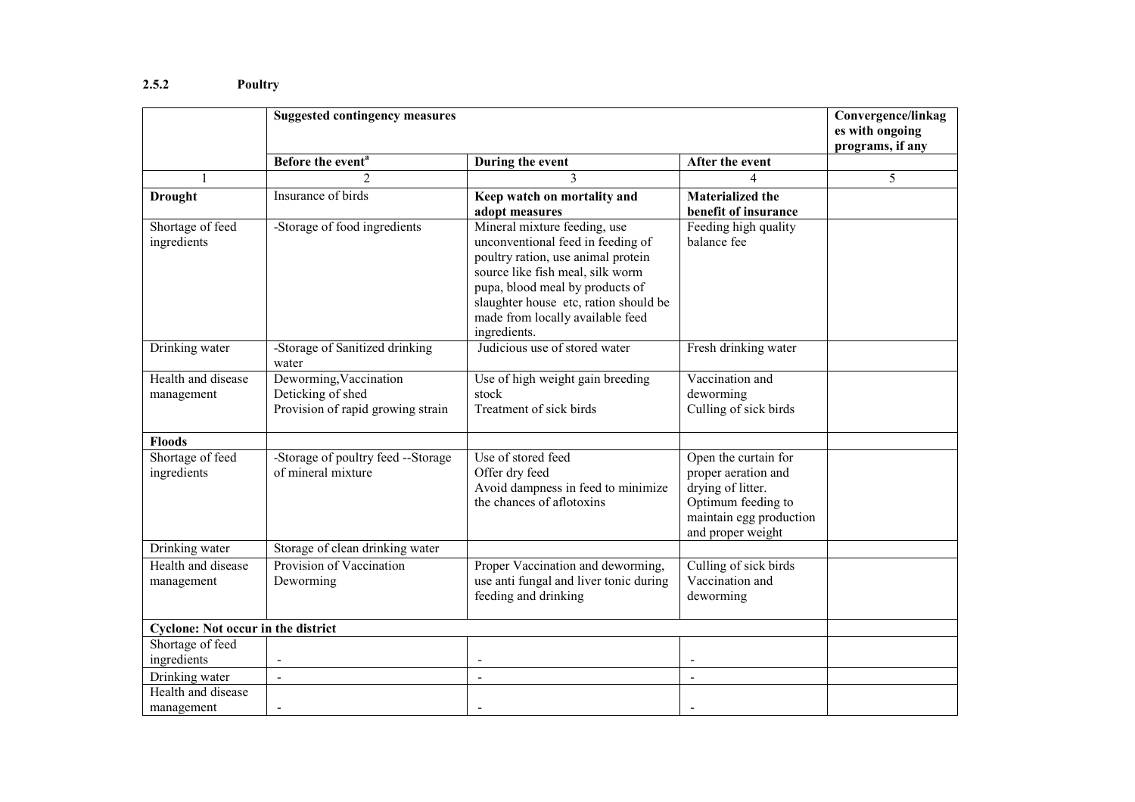### 2.5.2 Poultry

|                                           | <b>Suggested contingency measures</b>                                            |                                                                                                                                                                                                                                                                             |                                                                                                                                        | Convergence/linkag                  |
|-------------------------------------------|----------------------------------------------------------------------------------|-----------------------------------------------------------------------------------------------------------------------------------------------------------------------------------------------------------------------------------------------------------------------------|----------------------------------------------------------------------------------------------------------------------------------------|-------------------------------------|
|                                           |                                                                                  |                                                                                                                                                                                                                                                                             |                                                                                                                                        | es with ongoing<br>programs, if any |
|                                           | Before the event <sup>a</sup>                                                    | During the event                                                                                                                                                                                                                                                            | After the event                                                                                                                        |                                     |
|                                           | $\mathcal{D}_{\mathcal{L}}$                                                      |                                                                                                                                                                                                                                                                             |                                                                                                                                        | 5                                   |
| <b>Drought</b>                            | Insurance of birds                                                               | Keep watch on mortality and<br>adopt measures                                                                                                                                                                                                                               | <b>Materialized the</b><br>benefit of insurance                                                                                        |                                     |
| Shortage of feed<br>ingredients           | -Storage of food ingredients                                                     | Mineral mixture feeding, use<br>unconventional feed in feeding of<br>poultry ration, use animal protein<br>source like fish meal, silk worm<br>pupa, blood meal by products of<br>slaughter house etc, ration should be<br>made from locally available feed<br>ingredients. | Feeding high quality<br>balance fee                                                                                                    |                                     |
| Drinking water                            | -Storage of Sanitized drinking<br>water                                          | Judicious use of stored water                                                                                                                                                                                                                                               | Fresh drinking water                                                                                                                   |                                     |
| Health and disease<br>management          | Deworming, Vaccination<br>Deticking of shed<br>Provision of rapid growing strain | Use of high weight gain breeding<br>stock<br>Treatment of sick birds                                                                                                                                                                                                        | Vaccination and<br>deworming<br>Culling of sick birds                                                                                  |                                     |
| <b>Floods</b>                             |                                                                                  |                                                                                                                                                                                                                                                                             |                                                                                                                                        |                                     |
| Shortage of feed<br>ingredients           | -Storage of poultry feed --Storage<br>of mineral mixture                         | Use of stored feed<br>Offer dry feed<br>Avoid dampness in feed to minimize<br>the chances of aflotoxins                                                                                                                                                                     | Open the curtain for<br>proper aeration and<br>drying of litter.<br>Optimum feeding to<br>maintain egg production<br>and proper weight |                                     |
| Drinking water                            | Storage of clean drinking water                                                  |                                                                                                                                                                                                                                                                             |                                                                                                                                        |                                     |
| Health and disease<br>management          | Provision of Vaccination<br>Deworming                                            | Proper Vaccination and deworming,<br>use anti fungal and liver tonic during<br>feeding and drinking                                                                                                                                                                         | Culling of sick birds<br>Vaccination and<br>deworming                                                                                  |                                     |
| <b>Cyclone: Not occur in the district</b> |                                                                                  |                                                                                                                                                                                                                                                                             |                                                                                                                                        |                                     |
| Shortage of feed<br>ingredients           | $\blacksquare$                                                                   | $\blacksquare$                                                                                                                                                                                                                                                              | $\overline{\phantom{a}}$                                                                                                               |                                     |
| Drinking water                            | $\overline{a}$                                                                   | $\blacksquare$                                                                                                                                                                                                                                                              | $\blacksquare$                                                                                                                         |                                     |
| Health and disease<br>management          |                                                                                  |                                                                                                                                                                                                                                                                             |                                                                                                                                        |                                     |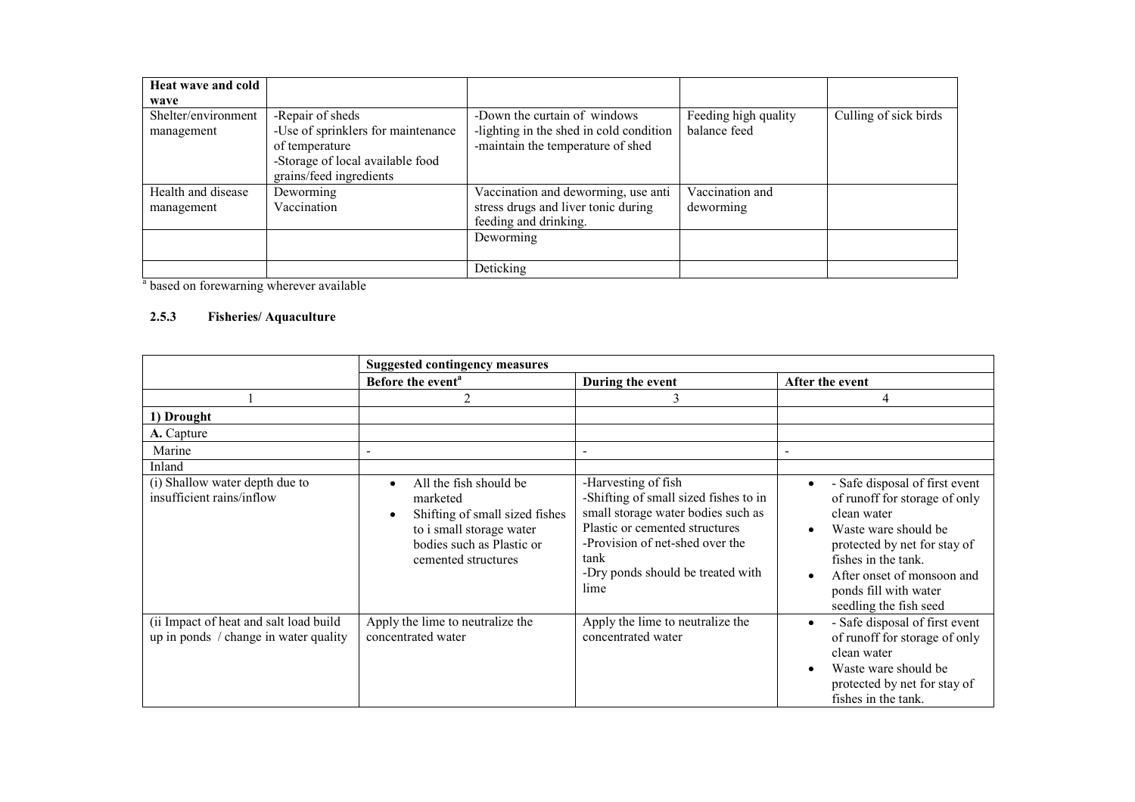| Heat wave and cold<br>wave        |                                                                                                                                         |                                                                                                              |                                      |                       |
|-----------------------------------|-----------------------------------------------------------------------------------------------------------------------------------------|--------------------------------------------------------------------------------------------------------------|--------------------------------------|-----------------------|
| Shelter/environment<br>management | -Repair of sheds<br>-Use of sprinklers for maintenance<br>of temperature<br>-Storage of local available food<br>grains/feed ingredients | -Down the curtain of windows<br>-lighting in the shed in cold condition<br>-maintain the temperature of shed | Feeding high quality<br>balance feed | Culling of sick birds |
| Health and disease<br>management  | Deworming<br>Vaccination                                                                                                                | Vaccination and deworming, use anti<br>stress drugs and liver tonic during<br>feeding and drinking.          | Vaccination and<br>deworming         |                       |
|                                   |                                                                                                                                         | Deworming                                                                                                    |                                      |                       |
|                                   |                                                                                                                                         | Deticking                                                                                                    |                                      |                       |

<sup>a</sup> based on forewarning wherever available

#### 2.5.3 Fisheries/ Aquaculture

|                                                                                 | <b>Suggested contingency measures</b>                                                                                                                |                                                                                                                                                                                                                              |                                                                                                                                                                                                                                                |
|---------------------------------------------------------------------------------|------------------------------------------------------------------------------------------------------------------------------------------------------|------------------------------------------------------------------------------------------------------------------------------------------------------------------------------------------------------------------------------|------------------------------------------------------------------------------------------------------------------------------------------------------------------------------------------------------------------------------------------------|
|                                                                                 | Before the event <sup>a</sup>                                                                                                                        | During the event                                                                                                                                                                                                             | After the event                                                                                                                                                                                                                                |
|                                                                                 | 2                                                                                                                                                    | 3                                                                                                                                                                                                                            | 4                                                                                                                                                                                                                                              |
| 1) Drought                                                                      |                                                                                                                                                      |                                                                                                                                                                                                                              |                                                                                                                                                                                                                                                |
| A. Capture                                                                      |                                                                                                                                                      |                                                                                                                                                                                                                              |                                                                                                                                                                                                                                                |
| Marine                                                                          |                                                                                                                                                      |                                                                                                                                                                                                                              |                                                                                                                                                                                                                                                |
| Inland                                                                          |                                                                                                                                                      |                                                                                                                                                                                                                              |                                                                                                                                                                                                                                                |
| (i) Shallow water depth due to<br>insufficient rains/inflow                     | All the fish should be<br>marketed<br>Shifting of small sized fishes<br>to i small storage water<br>bodies such as Plastic or<br>cemented structures | -Harvesting of fish<br>-Shifting of small sized fishes to in<br>small storage water bodies such as<br>Plastic or cemented structures<br>-Provision of net-shed over the<br>tank<br>-Dry ponds should be treated with<br>lime | - Safe disposal of first event<br>of runoff for storage of only<br>clean water<br>Waste ware should be<br>protected by net for stay of<br>fishes in the tank.<br>After onset of monsoon and<br>ponds fill with water<br>seedling the fish seed |
| (ii Impact of heat and salt load build<br>up in ponds / change in water quality | Apply the lime to neutralize the<br>concentrated water                                                                                               | Apply the lime to neutralize the<br>concentrated water                                                                                                                                                                       | - Safe disposal of first event<br>of runoff for storage of only<br>clean water<br>Waste ware should be<br>protected by net for stay of<br>fishes in the tank.                                                                                  |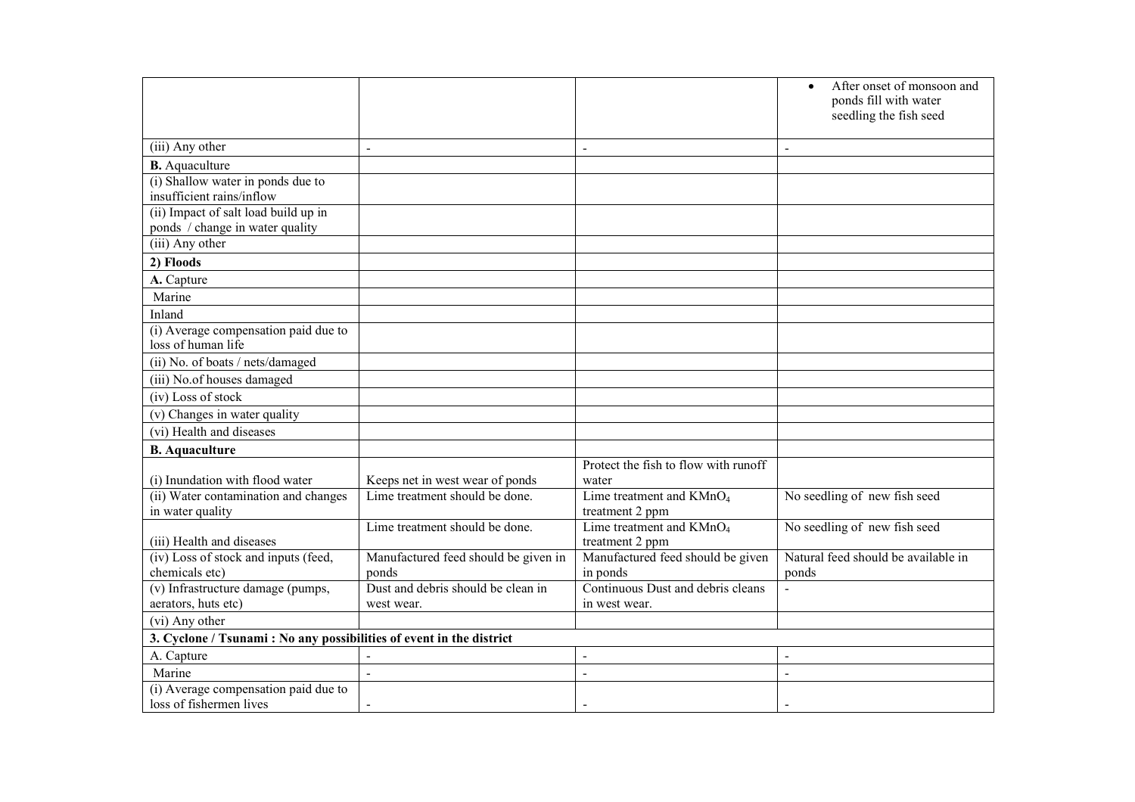|                                                                     |                                               |                                                      | After onset of monsoon and<br>ponds fill with water |  |
|---------------------------------------------------------------------|-----------------------------------------------|------------------------------------------------------|-----------------------------------------------------|--|
|                                                                     |                                               |                                                      | seedling the fish seed                              |  |
| (iii) Any other                                                     | $\sim$                                        | $\blacksquare$                                       | $\blacksquare$                                      |  |
| <b>B.</b> Aquaculture                                               |                                               |                                                      |                                                     |  |
| (i) Shallow water in ponds due to                                   |                                               |                                                      |                                                     |  |
| insufficient rains/inflow                                           |                                               |                                                      |                                                     |  |
| (ii) Impact of salt load build up in                                |                                               |                                                      |                                                     |  |
| ponds / change in water quality                                     |                                               |                                                      |                                                     |  |
| (iii) Any other                                                     |                                               |                                                      |                                                     |  |
| 2) Floods                                                           |                                               |                                                      |                                                     |  |
| A. Capture                                                          |                                               |                                                      |                                                     |  |
| Marine                                                              |                                               |                                                      |                                                     |  |
| Inland                                                              |                                               |                                                      |                                                     |  |
| (i) Average compensation paid due to<br>loss of human life          |                                               |                                                      |                                                     |  |
| (ii) No. of boats / nets/damaged                                    |                                               |                                                      |                                                     |  |
| (iii) No.of houses damaged                                          |                                               |                                                      |                                                     |  |
| (iv) Loss of stock                                                  |                                               |                                                      |                                                     |  |
| (v) Changes in water quality                                        |                                               |                                                      |                                                     |  |
| (vi) Health and diseases                                            |                                               |                                                      |                                                     |  |
| <b>B.</b> Aquaculture                                               |                                               |                                                      |                                                     |  |
|                                                                     |                                               | Protect the fish to flow with runoff                 |                                                     |  |
| (i) Inundation with flood water                                     | Keeps net in west wear of ponds               | water                                                |                                                     |  |
| (ii) Water contamination and changes                                | Lime treatment should be done.                | Lime treatment and $\overline{\text{K}}\text{MnO}_4$ | No seedling of new fish seed                        |  |
| in water quality                                                    |                                               | treatment 2 ppm                                      |                                                     |  |
|                                                                     | Lime treatment should be done.                | Lime treatment and $KMnO4$                           | No seedling of new fish seed                        |  |
| (iii) Health and diseases<br>(iv) Loss of stock and inputs (feed,   |                                               | treatment 2 ppm<br>Manufactured feed should be given | Natural feed should be available in                 |  |
| chemicals etc)                                                      | Manufactured feed should be given in<br>ponds | in ponds                                             | ponds                                               |  |
| (v) Infrastructure damage (pumps,                                   | Dust and debris should be clean in            | Continuous Dust and debris cleans                    |                                                     |  |
| aerators, huts etc)                                                 | west wear.                                    | in west wear.                                        |                                                     |  |
| (vi) Any other                                                      |                                               |                                                      |                                                     |  |
| 3. Cyclone / Tsunami: No any possibilities of event in the district |                                               |                                                      |                                                     |  |
| A. Capture                                                          |                                               | $\sim$                                               | $\overline{a}$                                      |  |
| Marine                                                              | $\overline{a}$                                | $\overline{a}$                                       | $\overline{a}$                                      |  |
| (i) Average compensation paid due to                                |                                               |                                                      |                                                     |  |
| loss of fishermen lives                                             | $\blacksquare$                                |                                                      |                                                     |  |